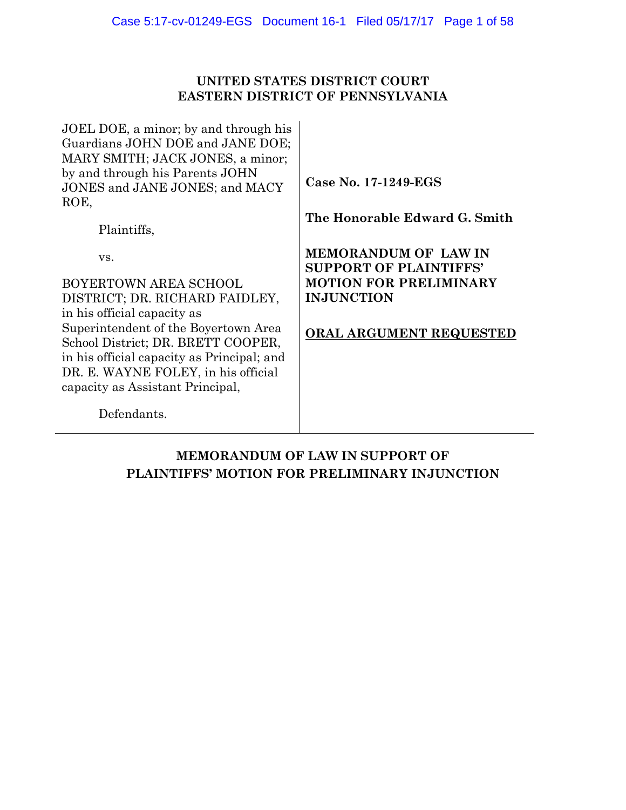# **UNITED STATES DISTRICT COURT EASTERN DISTRICT OF PENNSYLVANIA**

JOEL DOE, a minor; by and through his Guardians JOHN DOE and JANE DOE; MARY SMITH; JACK JONES, a minor; by and through his Parents JOHN JONES and JANE JONES; and MACY ROE,

Plaintiffs,

vs.

BOYERTOWN AREA SCHOOL DISTRICT; DR. RICHARD FAIDLEY, in his official capacity as Superintendent of the Boyertown Area School District; DR. BRETT COOPER, in his official capacity as Principal; and DR. E. WAYNE FOLEY, in his official capacity as Assistant Principal,

**Case No. 17-1249-EGS** 

**The Honorable Edward G. Smith** 

**MEMORANDUM OF LAW IN SUPPORT OF PLAINTIFFS' MOTION FOR PRELIMINARY INJUNCTION** 

# **ORAL ARGUMENT REQUESTED**

Defendants.

# **MEMORANDUM OF LAW IN SUPPORT OF PLAINTIFFS' MOTION FOR PRELIMINARY INJUNCTION**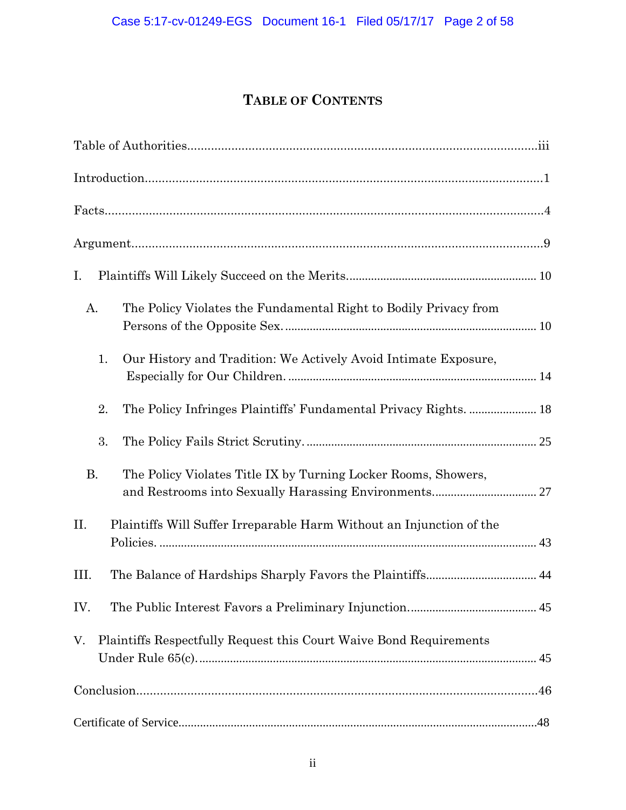# **TABLE OF CONTENTS**

| I.                                                                          |
|-----------------------------------------------------------------------------|
| The Policy Violates the Fundamental Right to Bodily Privacy from<br>Α.      |
| 1.<br>Our History and Tradition: We Actively Avoid Intimate Exposure,       |
| 2.<br>The Policy Infringes Plaintiffs' Fundamental Privacy Rights.  18      |
| 3.                                                                          |
| <b>B.</b><br>The Policy Violates Title IX by Turning Locker Rooms, Showers, |
| Plaintiffs Will Suffer Irreparable Harm Without an Injunction of the<br>П.  |
| Ш.                                                                          |
| IV.                                                                         |
| Plaintiffs Respectfully Request this Court Waive Bond Requirements<br>V.    |
|                                                                             |
|                                                                             |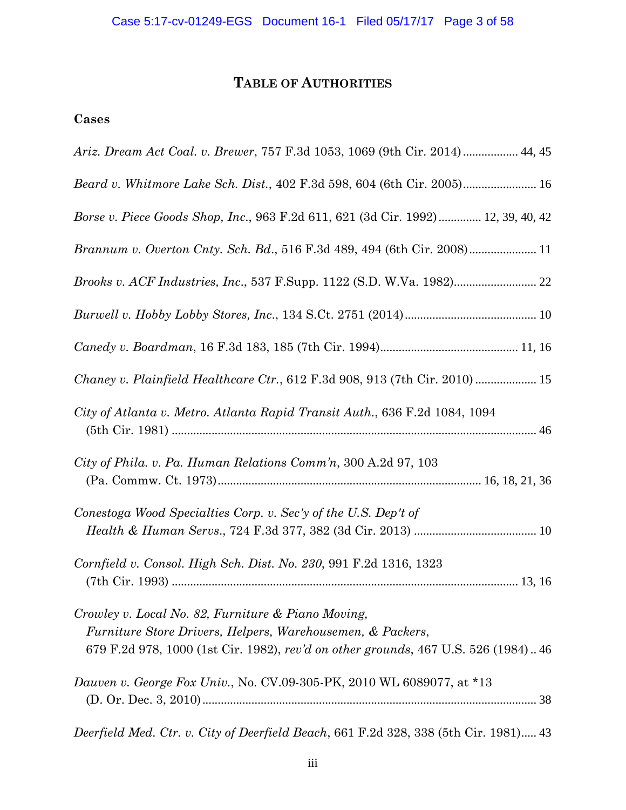# **TABLE OF AUTHORITIES**

# **Cases**

| Ariz. Dream Act Coal. v. Brewer, 757 F.3d 1053, 1069 (9th Cir. 2014)  44, 45                                                                                                                           |
|--------------------------------------------------------------------------------------------------------------------------------------------------------------------------------------------------------|
| Beard v. Whitmore Lake Sch. Dist., 402 F.3d 598, 604 (6th Cir. 2005) 16                                                                                                                                |
| Borse v. Piece Goods Shop, Inc., 963 F.2d 611, 621 (3d Cir. 1992) 12, 39, 40, 42                                                                                                                       |
|                                                                                                                                                                                                        |
| <i>Brooks v. ACF Industries, Inc., 537 F.Supp. 1122 (S.D. W.Va. 1982)</i> 22                                                                                                                           |
|                                                                                                                                                                                                        |
|                                                                                                                                                                                                        |
| Chaney v. Plainfield Healthcare Ctr., 612 F.3d 908, 913 (7th Cir. 2010)  15                                                                                                                            |
| City of Atlanta v. Metro. Atlanta Rapid Transit Auth., 636 F.2d 1084, 1094                                                                                                                             |
| City of Phila. v. Pa. Human Relations Comm'n, 300 A.2d 97, 103                                                                                                                                         |
| Conestoga Wood Specialties Corp. v. Sec'y of the U.S. Dep't of                                                                                                                                         |
| Cornfield v. Consol. High Sch. Dist. No. 230, 991 F.2d 1316, 1323                                                                                                                                      |
| Crowley v. Local No. 82, Furniture & Piano Moving,<br>Furniture Store Drivers, Helpers, Warehousemen, & Packers,<br>679 F.2d 978, 1000 (1st Cir. 1982), rev'd on other grounds, 467 U.S. 526 (1984) 46 |
| <i>Dauven v. George Fox Univ., No. CV.09-305-PK, 2010 WL 6089077, at *13</i>                                                                                                                           |
| Deerfield Med. Ctr. v. City of Deerfield Beach, 661 F.2d 328, 338 (5th Cir. 1981) 43                                                                                                                   |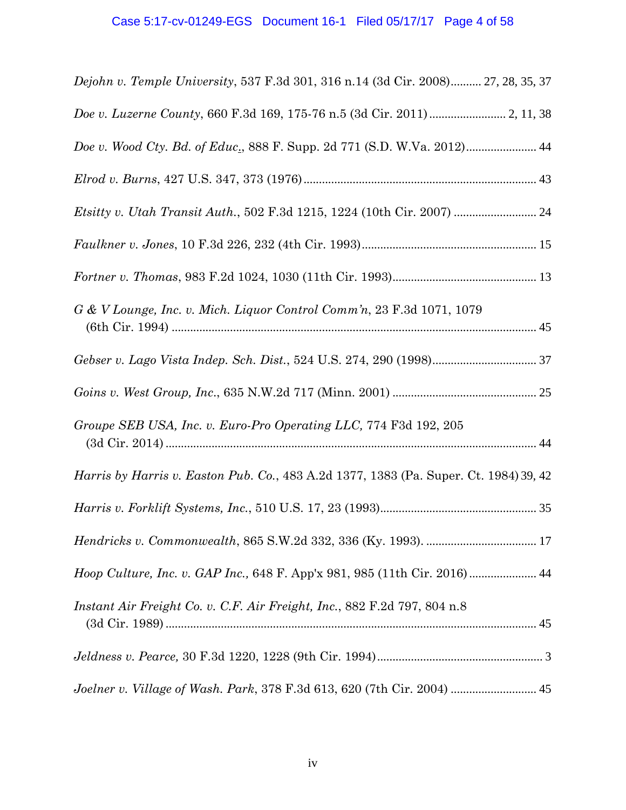# Case 5:17-cv-01249-EGS Document 16-1 Filed 05/17/17 Page 4 of 58

| Dejohn v. Temple University, 537 F.3d 301, 316 n.14 (3d Cir. 2008) 27, 28, 35, 37            |
|----------------------------------------------------------------------------------------------|
|                                                                                              |
| Doe v. Wood Cty. Bd. of Educ., 888 F. Supp. 2d 771 (S.D. W.Va. 2012) 44                      |
|                                                                                              |
|                                                                                              |
|                                                                                              |
|                                                                                              |
| G & V Lounge, Inc. v. Mich. Liquor Control Comm'n, 23 F.3d 1071, 1079                        |
|                                                                                              |
|                                                                                              |
| Groupe SEB USA, Inc. v. Euro-Pro Operating LLC, 774 F3d 192, 205                             |
| <i>Harris by Harris v. Easton Pub. Co., 483 A.2d 1377, 1383 (Pa. Super. Ct. 1984) 39, 42</i> |
|                                                                                              |
|                                                                                              |
| Hoop Culture, Inc. v. GAP Inc., 648 F. App'x 981, 985 (11th Cir. 2016)  44                   |
| Instant Air Freight Co. v. C.F. Air Freight, Inc., 882 F.2d 797, 804 n.8                     |
|                                                                                              |
| Joelner v. Village of Wash. Park, 378 F.3d 613, 620 (7th Cir. 2004)  45                      |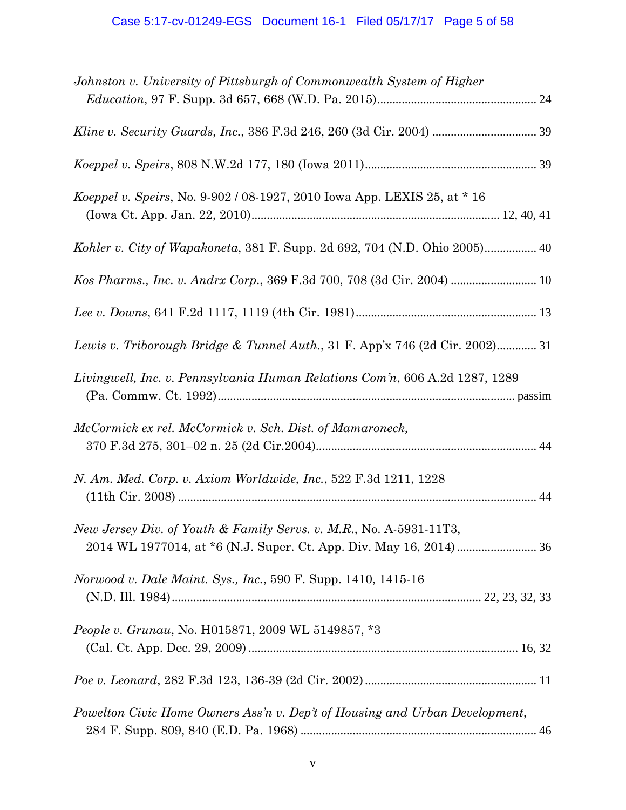| Johnston v. University of Pittsburgh of Commonwealth System of Higher        |
|------------------------------------------------------------------------------|
|                                                                              |
|                                                                              |
|                                                                              |
| Koeppel v. Speirs, No. 9-902 / 08-1927, 2010 Iowa App. LEXIS 25, at * 16     |
| Kohler v. City of Wapakoneta, 381 F. Supp. 2d 692, 704 (N.D. Ohio 2005) 40   |
| Kos Pharms., Inc. v. Andrx Corp., 369 F.3d 700, 708 (3d Cir. 2004)  10       |
|                                                                              |
| Lewis v. Triborough Bridge & Tunnel Auth., 31 F. App'x 746 (2d Cir. 2002) 31 |
| Livingwell, Inc. v. Pennsylvania Human Relations Com'n, 606 A.2d 1287, 1289  |
| McCormick ex rel. McCormick v. Sch. Dist. of Mamaroneck,                     |
| N. Am. Med. Corp. v. Axiom Worldwide, Inc., 522 F.3d 1211, 1228              |
| New Jersey Div. of Youth & Family Servs. v. M.R., No. A-5931-11T3,           |
| Norwood v. Dale Maint. Sys., Inc., 590 F. Supp. 1410, 1415-16                |
| <i>People v. Grunau, No. H015871, 2009 WL 5149857, *3</i>                    |
|                                                                              |
| Powelton Civic Home Owners Ass'n v. Dep't of Housing and Urban Development,  |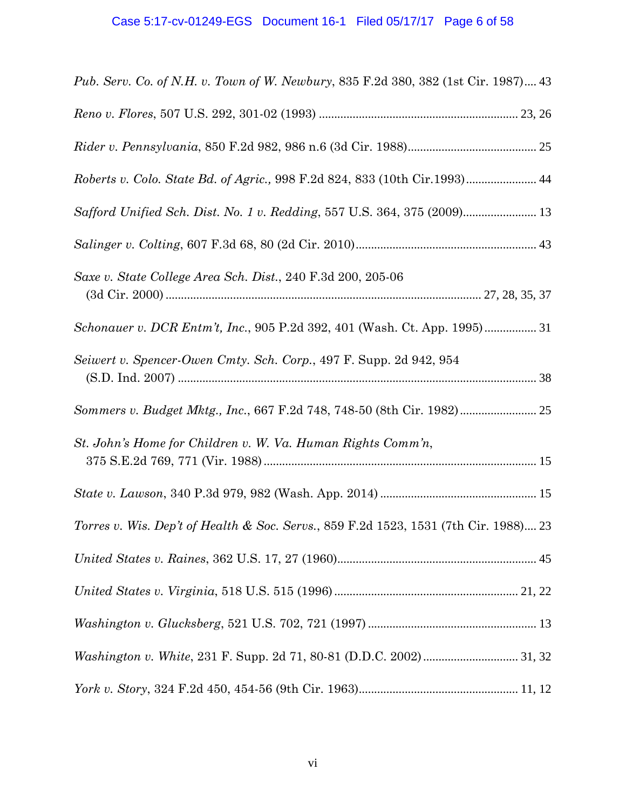| Pub. Serv. Co. of N.H. v. Town of W. Newbury, 835 F.2d 380, 382 (1st Cir. 1987) 43   |
|--------------------------------------------------------------------------------------|
|                                                                                      |
|                                                                                      |
| Roberts v. Colo. State Bd. of Agric., 998 F.2d 824, 833 (10th Cir.1993) 44           |
| Safford Unified Sch. Dist. No. 1 v. Redding, 557 U.S. 364, 375 (2009) 13             |
|                                                                                      |
| Saxe v. State College Area Sch. Dist., 240 F.3d 200, 205-06                          |
| Schonauer v. DCR Entm't, Inc., 905 P.2d 392, 401 (Wash. Ct. App. 1995) 31            |
| Seiwert v. Spencer-Owen Cmty. Sch. Corp., 497 F. Supp. 2d 942, 954                   |
| Sommers v. Budget Mktg., Inc., 667 F.2d 748, 748-50 (8th Cir. 1982) 25               |
| St. John's Home for Children v. W. Va. Human Rights Comm'n,                          |
|                                                                                      |
| Torres v. Wis. Dep't of Health & Soc. Servs., 859 F.2d 1523, 1531 (7th Cir. 1988) 23 |
|                                                                                      |
|                                                                                      |
|                                                                                      |
|                                                                                      |
|                                                                                      |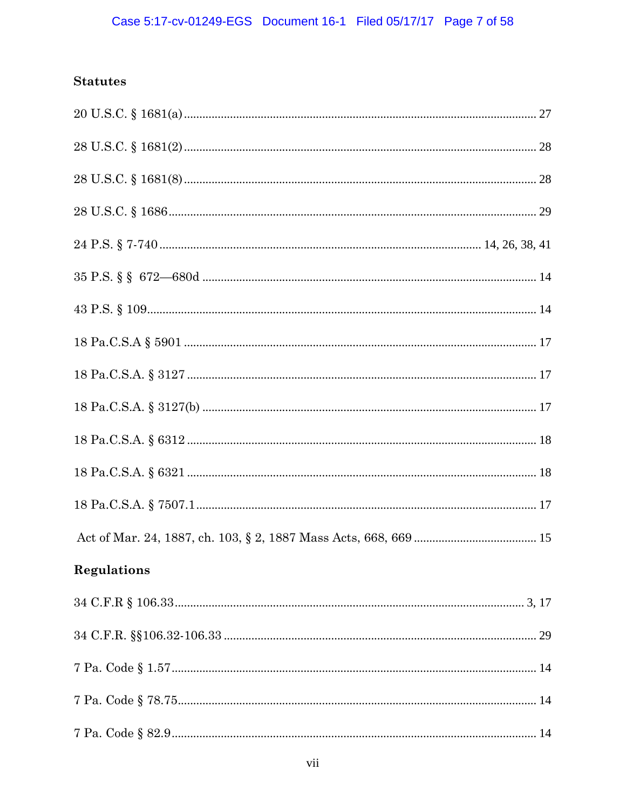# **Statutes**

| $18 \text{ Pa.C.S.A} \text{ } \S \text{ } 5901 \text{ } \ldots \text{ } \ldots \text{ } \ldots \text{ } \ldots \text{ } \ldots \text{ } \ldots \text{ } \ldots \text{ } \ldots \text{ } \ldots \text{ } \ldots \text{ } \ldots \text{ } \ldots \text{ } \ldots \text{ } \ldots \text{ } \ldots \text{ } \ldots \text{ } \ldots \text{ } \ldots \text{ } \ldots \text{ } \ldots \text{ } \ldots \text{ } \ldots \text{ } \ldots \text{ } \ldots \text{ } \ldots \text{ } \ldots \text{ } \ldots \text{ } \ld$ |  |
|--------------------------------------------------------------------------------------------------------------------------------------------------------------------------------------------------------------------------------------------------------------------------------------------------------------------------------------------------------------------------------------------------------------------------------------------------------------------------------------------------------------|--|
|                                                                                                                                                                                                                                                                                                                                                                                                                                                                                                              |  |
|                                                                                                                                                                                                                                                                                                                                                                                                                                                                                                              |  |
|                                                                                                                                                                                                                                                                                                                                                                                                                                                                                                              |  |
|                                                                                                                                                                                                                                                                                                                                                                                                                                                                                                              |  |
|                                                                                                                                                                                                                                                                                                                                                                                                                                                                                                              |  |
|                                                                                                                                                                                                                                                                                                                                                                                                                                                                                                              |  |
| <b>Regulations</b>                                                                                                                                                                                                                                                                                                                                                                                                                                                                                           |  |
|                                                                                                                                                                                                                                                                                                                                                                                                                                                                                                              |  |
|                                                                                                                                                                                                                                                                                                                                                                                                                                                                                                              |  |
|                                                                                                                                                                                                                                                                                                                                                                                                                                                                                                              |  |
|                                                                                                                                                                                                                                                                                                                                                                                                                                                                                                              |  |
|                                                                                                                                                                                                                                                                                                                                                                                                                                                                                                              |  |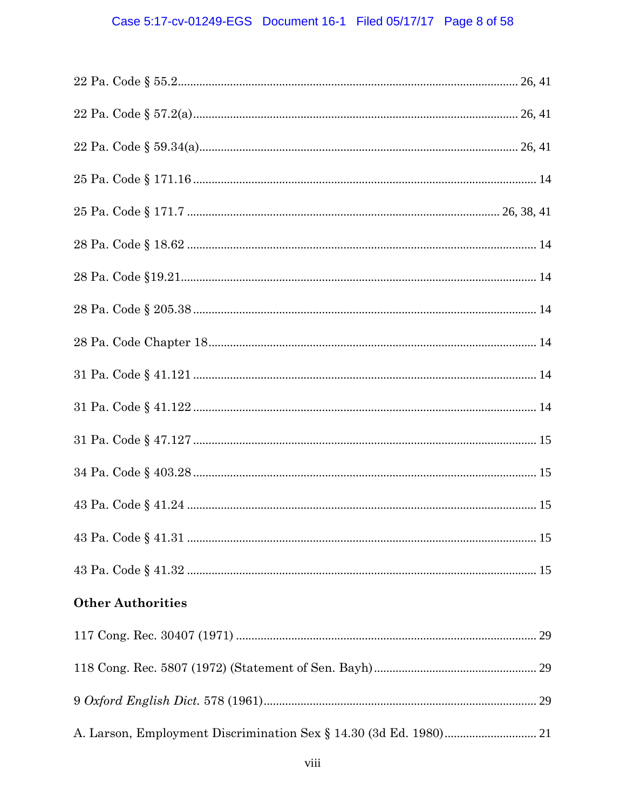# Case 5:17-cv-01249-EGS Document 16-1 Filed 05/17/17 Page 8 of 58

| <b>Other Authorities</b> |  |
|--------------------------|--|
|                          |  |
|                          |  |
|                          |  |
|                          |  |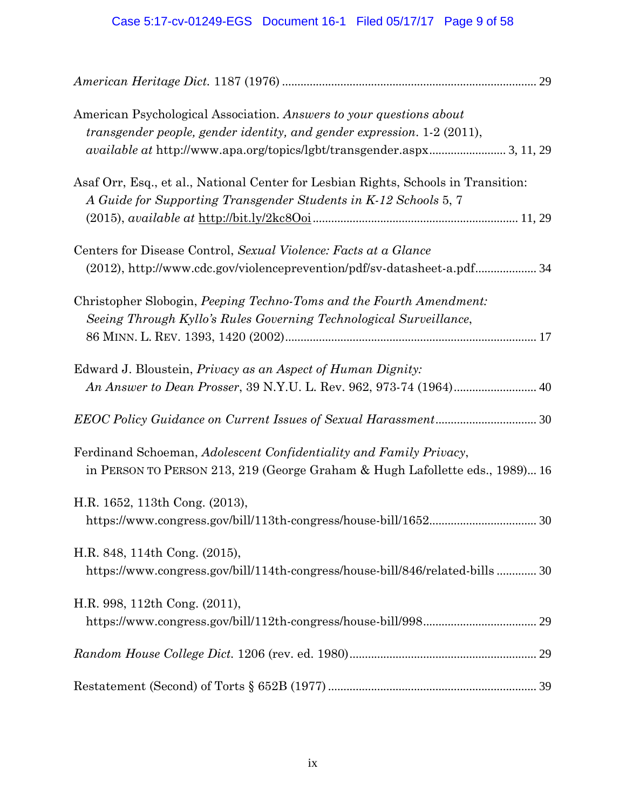# Case 5:17-cv-01249-EGS Document 16-1 Filed 05/17/17 Page 9 of 58

| American Psychological Association. Answers to your questions about<br>transgender people, gender identity, and gender expression. 1-2 (2011),<br>available at http://www.apa.org/topics/lgbt/transgender.aspx 3, 11, 29 |  |
|--------------------------------------------------------------------------------------------------------------------------------------------------------------------------------------------------------------------------|--|
| Asaf Orr, Esq., et al., National Center for Lesbian Rights, Schools in Transition:<br>A Guide for Supporting Transgender Students in K-12 Schools 5, 7                                                                   |  |
| Centers for Disease Control, Sexual Violence: Facts at a Glance<br>(2012), http://www.cdc.gov/violenceprevention/pdf/sv-datasheet-a.pdf 34                                                                               |  |
| Christopher Slobogin, Peeping Techno-Toms and the Fourth Amendment:<br>Seeing Through Kyllo's Rules Governing Technological Surveillance,                                                                                |  |
| Edward J. Bloustein, Privacy as an Aspect of Human Dignity:                                                                                                                                                              |  |
|                                                                                                                                                                                                                          |  |
| Ferdinand Schoeman, Adolescent Confidentiality and Family Privacy,<br>in PERSON TO PERSON 213, 219 (George Graham & Hugh Lafollette eds., 1989) 16                                                                       |  |
| H.R. 1652, 113th Cong. (2013),                                                                                                                                                                                           |  |
| H.R. 848, 114th Cong. (2015),<br>https://www.congress.gov/bill/114th-congress/house-bill/846/related-bills 30                                                                                                            |  |
| H.R. 998, 112th Cong. (2011),                                                                                                                                                                                            |  |
|                                                                                                                                                                                                                          |  |
|                                                                                                                                                                                                                          |  |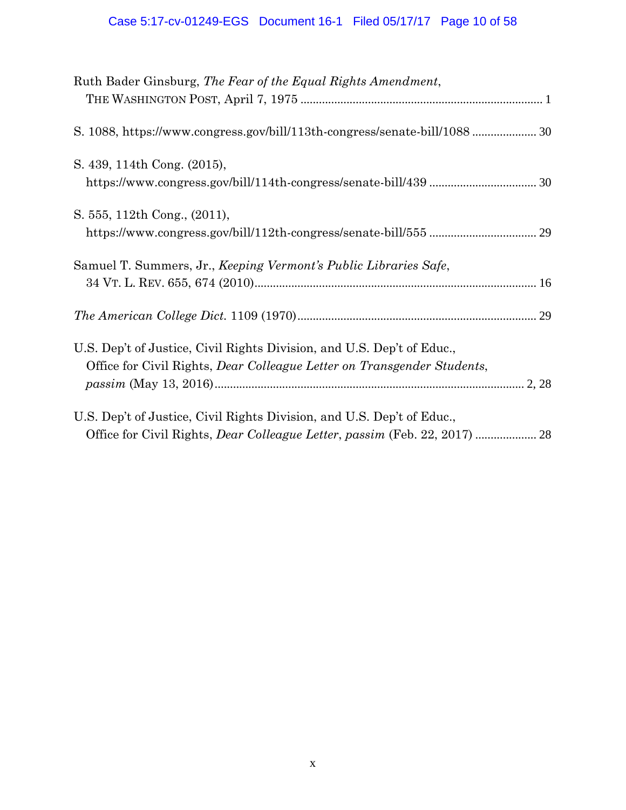# Case 5:17-cv-01249-EGS Document 16-1 Filed 05/17/17 Page 10 of 58

| Ruth Bader Ginsburg, The Fear of the Equal Rights Amendment,                                                                                      |  |
|---------------------------------------------------------------------------------------------------------------------------------------------------|--|
|                                                                                                                                                   |  |
| S. 439, 114th Cong. (2015),                                                                                                                       |  |
| S. 555, 112th Cong., (2011),                                                                                                                      |  |
| Samuel T. Summers, Jr., Keeping Vermont's Public Libraries Safe,                                                                                  |  |
|                                                                                                                                                   |  |
| U.S. Dep't of Justice, Civil Rights Division, and U.S. Dep't of Educ.,<br>Office for Civil Rights, Dear Colleague Letter on Transgender Students, |  |
| U.S. Dep't of Justice, Civil Rights Division, and U.S. Dep't of Educ.,                                                                            |  |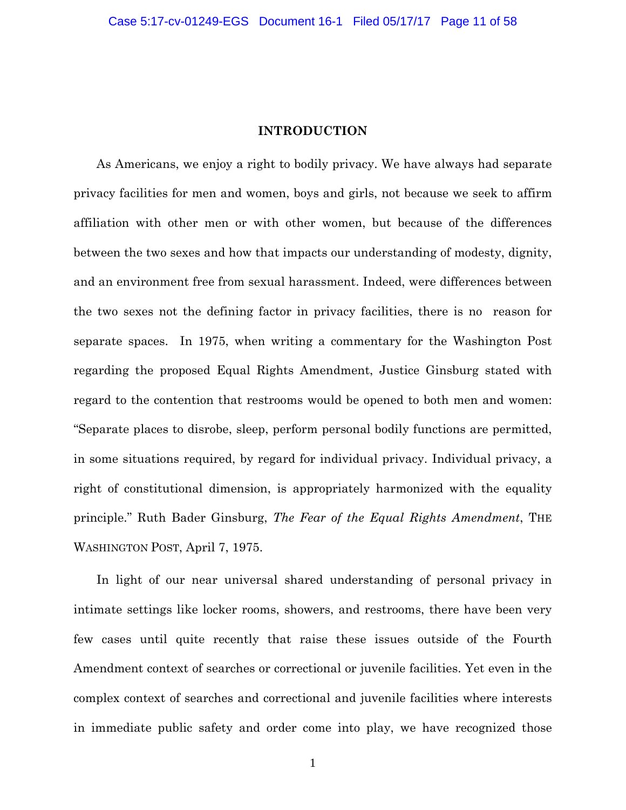## **INTRODUCTION**

As Americans, we enjoy a right to bodily privacy. We have always had separate privacy facilities for men and women, boys and girls, not because we seek to affirm affiliation with other men or with other women, but because of the differences between the two sexes and how that impacts our understanding of modesty, dignity, and an environment free from sexual harassment. Indeed, were differences between the two sexes not the defining factor in privacy facilities, there is no reason for separate spaces. In 1975, when writing a commentary for the Washington Post regarding the proposed Equal Rights Amendment, Justice Ginsburg stated with regard to the contention that restrooms would be opened to both men and women: "Separate places to disrobe, sleep, perform personal bodily functions are permitted, in some situations required, by regard for individual privacy. Individual privacy, a right of constitutional dimension, is appropriately harmonized with the equality principle." Ruth Bader Ginsburg, *The Fear of the Equal Rights Amendment*, THE WASHINGTON POST, April 7, 1975.

In light of our near universal shared understanding of personal privacy in intimate settings like locker rooms, showers, and restrooms, there have been very few cases until quite recently that raise these issues outside of the Fourth Amendment context of searches or correctional or juvenile facilities. Yet even in the complex context of searches and correctional and juvenile facilities where interests in immediate public safety and order come into play, we have recognized those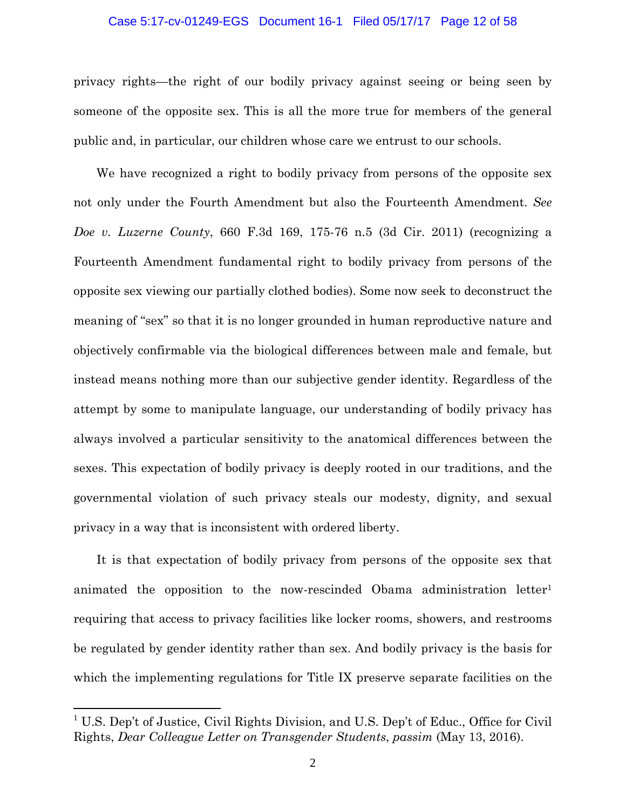### Case 5:17-cv-01249-EGS Document 16-1 Filed 05/17/17 Page 12 of 58

privacy rights—the right of our bodily privacy against seeing or being seen by someone of the opposite sex. This is all the more true for members of the general public and, in particular, our children whose care we entrust to our schools.

We have recognized a right to bodily privacy from persons of the opposite sex not only under the Fourth Amendment but also the Fourteenth Amendment. *See Doe v. Luzerne County*, 660 F.3d 169, 175-76 n.5 (3d Cir. 2011) (recognizing a Fourteenth Amendment fundamental right to bodily privacy from persons of the opposite sex viewing our partially clothed bodies). Some now seek to deconstruct the meaning of "sex" so that it is no longer grounded in human reproductive nature and objectively confirmable via the biological differences between male and female, but instead means nothing more than our subjective gender identity. Regardless of the attempt by some to manipulate language, our understanding of bodily privacy has always involved a particular sensitivity to the anatomical differences between the sexes. This expectation of bodily privacy is deeply rooted in our traditions, and the governmental violation of such privacy steals our modesty, dignity, and sexual privacy in a way that is inconsistent with ordered liberty.

It is that expectation of bodily privacy from persons of the opposite sex that animated the opposition to the now-rescinded Obama administration letter1 requiring that access to privacy facilities like locker rooms, showers, and restrooms be regulated by gender identity rather than sex. And bodily privacy is the basis for which the implementing regulations for Title IX preserve separate facilities on the

<u>.</u>

<sup>&</sup>lt;sup>1</sup> U.S. Dep't of Justice, Civil Rights Division, and U.S. Dep't of Educ., Office for Civil Rights, *Dear Colleague Letter on Transgender Students*, *passim* (May 13, 2016).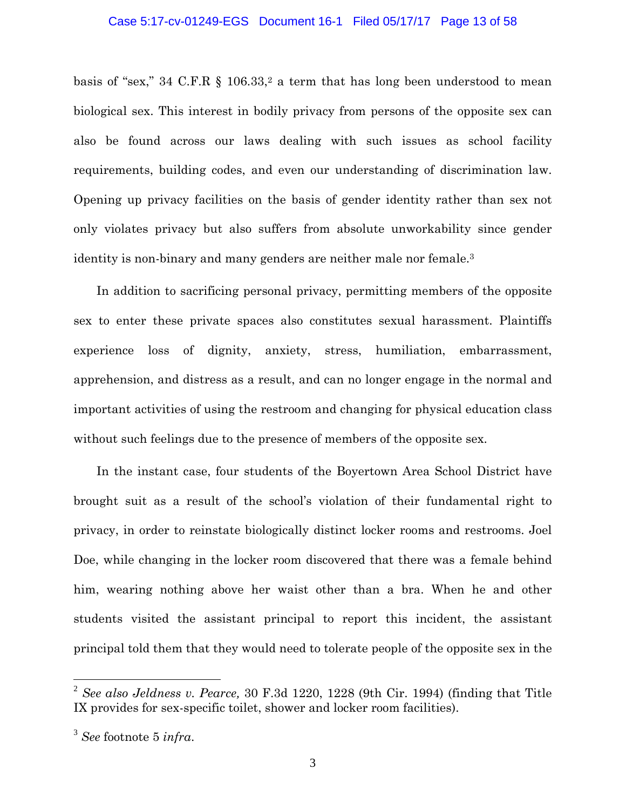### Case 5:17-cv-01249-EGS Document 16-1 Filed 05/17/17 Page 13 of 58

basis of "sex," 34 C.F.R  $\S$  106.33,<sup>2</sup> a term that has long been understood to mean biological sex. This interest in bodily privacy from persons of the opposite sex can also be found across our laws dealing with such issues as school facility requirements, building codes, and even our understanding of discrimination law. Opening up privacy facilities on the basis of gender identity rather than sex not only violates privacy but also suffers from absolute unworkability since gender identity is non-binary and many genders are neither male nor female.<sup>3</sup>

In addition to sacrificing personal privacy, permitting members of the opposite sex to enter these private spaces also constitutes sexual harassment. Plaintiffs experience loss of dignity, anxiety, stress, humiliation, embarrassment, apprehension, and distress as a result, and can no longer engage in the normal and important activities of using the restroom and changing for physical education class without such feelings due to the presence of members of the opposite sex.

In the instant case, four students of the Boyertown Area School District have brought suit as a result of the school's violation of their fundamental right to privacy, in order to reinstate biologically distinct locker rooms and restrooms. Joel Doe, while changing in the locker room discovered that there was a female behind him, wearing nothing above her waist other than a bra. When he and other students visited the assistant principal to report this incident, the assistant principal told them that they would need to tolerate people of the opposite sex in the

1

<sup>2</sup> *See also Jeldness v. Pearce,* 30 F.3d 1220, 1228 (9th Cir. 1994) (finding that Title IX provides for sex-specific toilet, shower and locker room facilities).

<sup>3</sup> *See* footnote 5 *infra*.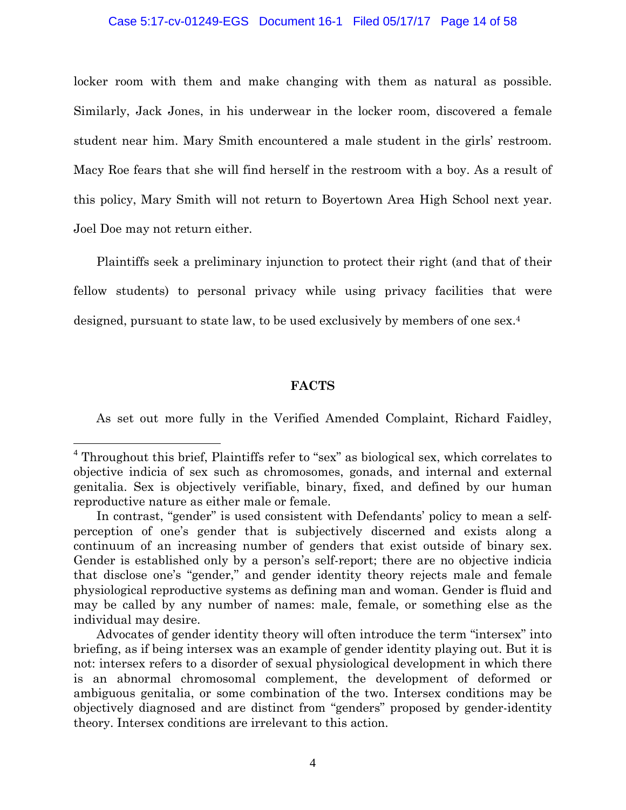### Case 5:17-cv-01249-EGS Document 16-1 Filed 05/17/17 Page 14 of 58

locker room with them and make changing with them as natural as possible. Similarly, Jack Jones, in his underwear in the locker room, discovered a female student near him. Mary Smith encountered a male student in the girls' restroom. Macy Roe fears that she will find herself in the restroom with a boy. As a result of this policy, Mary Smith will not return to Boyertown Area High School next year. Joel Doe may not return either.

Plaintiffs seek a preliminary injunction to protect their right (and that of their fellow students) to personal privacy while using privacy facilities that were designed, pursuant to state law, to be used exclusively by members of one sex.4

### **FACTS**

As set out more fully in the Verified Amended Complaint, Richard Faidley,

1

<sup>&</sup>lt;sup>4</sup> Throughout this brief, Plaintiffs refer to "sex" as biological sex, which correlates to objective indicia of sex such as chromosomes, gonads, and internal and external genitalia. Sex is objectively verifiable, binary, fixed, and defined by our human reproductive nature as either male or female.

In contrast, "gender" is used consistent with Defendants' policy to mean a selfperception of one's gender that is subjectively discerned and exists along a continuum of an increasing number of genders that exist outside of binary sex. Gender is established only by a person's self-report; there are no objective indicia that disclose one's "gender," and gender identity theory rejects male and female physiological reproductive systems as defining man and woman. Gender is fluid and may be called by any number of names: male, female, or something else as the individual may desire.

Advocates of gender identity theory will often introduce the term "intersex" into briefing, as if being intersex was an example of gender identity playing out. But it is not: intersex refers to a disorder of sexual physiological development in which there is an abnormal chromosomal complement, the development of deformed or ambiguous genitalia, or some combination of the two. Intersex conditions may be objectively diagnosed and are distinct from "genders" proposed by gender-identity theory. Intersex conditions are irrelevant to this action.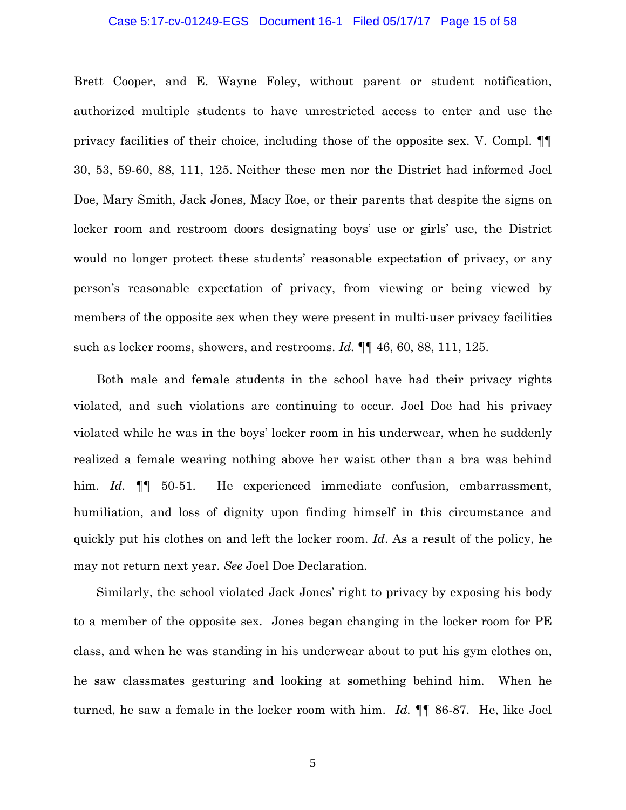#### Case 5:17-cv-01249-EGS Document 16-1 Filed 05/17/17 Page 15 of 58

Brett Cooper, and E. Wayne Foley, without parent or student notification, authorized multiple students to have unrestricted access to enter and use the privacy facilities of their choice, including those of the opposite sex. V. Compl. ¶¶ 30, 53, 59-60, 88, 111, 125. Neither these men nor the District had informed Joel Doe, Mary Smith, Jack Jones, Macy Roe, or their parents that despite the signs on locker room and restroom doors designating boys' use or girls' use, the District would no longer protect these students' reasonable expectation of privacy, or any person's reasonable expectation of privacy, from viewing or being viewed by members of the opposite sex when they were present in multi-user privacy facilities such as locker rooms, showers, and restrooms. *Id.* ¶¶ 46, 60, 88, 111, 125.

Both male and female students in the school have had their privacy rights violated, and such violations are continuing to occur. Joel Doe had his privacy violated while he was in the boys' locker room in his underwear, when he suddenly realized a female wearing nothing above her waist other than a bra was behind him. *Id.* **¶** 50-51. He experienced immediate confusion, embarrassment, humiliation, and loss of dignity upon finding himself in this circumstance and quickly put his clothes on and left the locker room. *Id*. As a result of the policy, he may not return next year. *See* Joel Doe Declaration.

Similarly, the school violated Jack Jones' right to privacy by exposing his body to a member of the opposite sex. Jones began changing in the locker room for PE class, and when he was standing in his underwear about to put his gym clothes on, he saw classmates gesturing and looking at something behind him. When he turned, he saw a female in the locker room with him. *Id.* ¶¶ 86-87. He, like Joel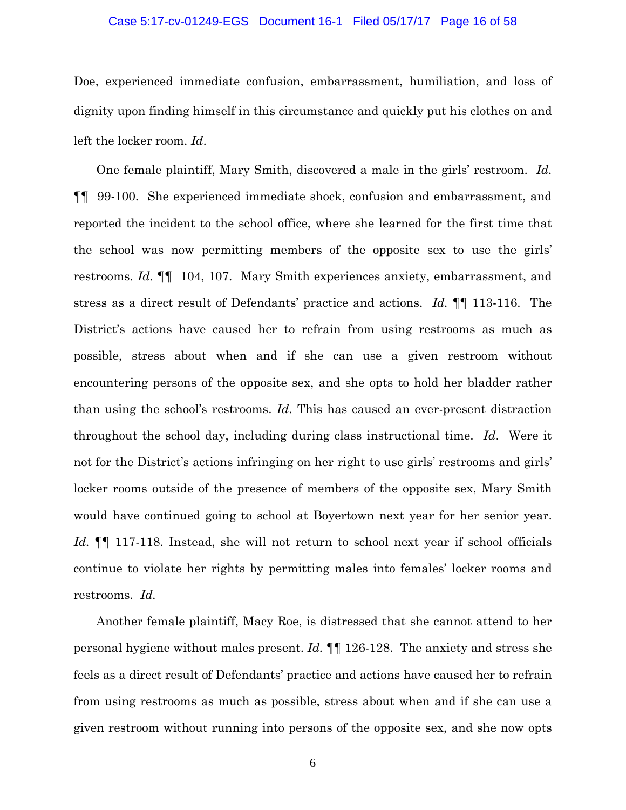### Case 5:17-cv-01249-EGS Document 16-1 Filed 05/17/17 Page 16 of 58

Doe, experienced immediate confusion, embarrassment, humiliation, and loss of dignity upon finding himself in this circumstance and quickly put his clothes on and left the locker room. *Id*.

One female plaintiff, Mary Smith, discovered a male in the girls' restroom. *Id.*  ¶¶ 99-100. She experienced immediate shock, confusion and embarrassment, and reported the incident to the school office, where she learned for the first time that the school was now permitting members of the opposite sex to use the girls' restrooms. *Id.* ¶¶ 104, 107. Mary Smith experiences anxiety, embarrassment, and stress as a direct result of Defendants' practice and actions. *Id.* ¶¶ 113-116. The District's actions have caused her to refrain from using restrooms as much as possible, stress about when and if she can use a given restroom without encountering persons of the opposite sex, and she opts to hold her bladder rather than using the school's restrooms. *Id*. This has caused an ever-present distraction throughout the school day, including during class instructional time. *Id*. Were it not for the District's actions infringing on her right to use girls' restrooms and girls' locker rooms outside of the presence of members of the opposite sex, Mary Smith would have continued going to school at Boyertown next year for her senior year. *Id.* ¶¶ 117-118. Instead, she will not return to school next year if school officials continue to violate her rights by permitting males into females' locker rooms and restrooms. *Id.* 

Another female plaintiff, Macy Roe, is distressed that she cannot attend to her personal hygiene without males present. *Id.* ¶¶ 126-128. The anxiety and stress she feels as a direct result of Defendants' practice and actions have caused her to refrain from using restrooms as much as possible, stress about when and if she can use a given restroom without running into persons of the opposite sex, and she now opts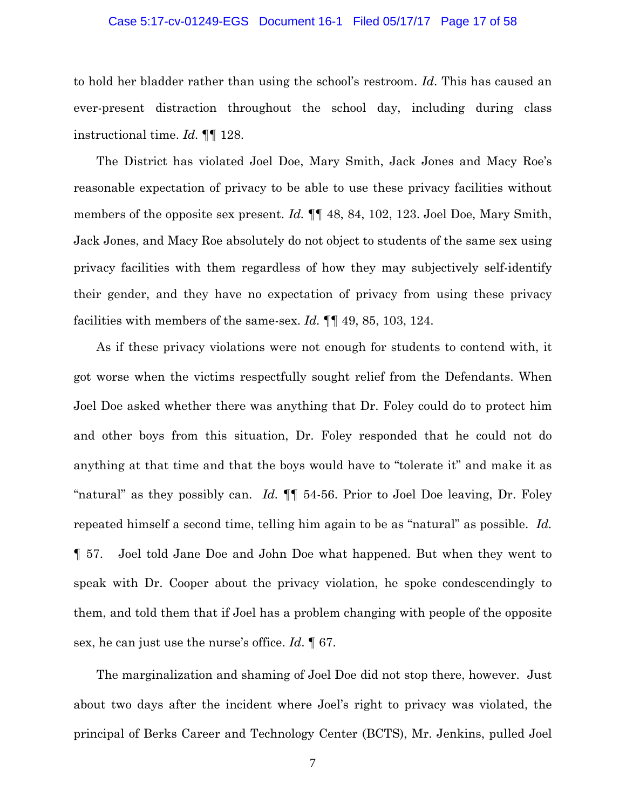### Case 5:17-cv-01249-EGS Document 16-1 Filed 05/17/17 Page 17 of 58

to hold her bladder rather than using the school's restroom. *Id*. This has caused an ever-present distraction throughout the school day, including during class instructional time. *Id.* ¶¶ 128.

The District has violated Joel Doe, Mary Smith, Jack Jones and Macy Roe's reasonable expectation of privacy to be able to use these privacy facilities without members of the opposite sex present. *Id.*  $\P$  48, 84, 102, 123. Joel Doe, Mary Smith, Jack Jones, and Macy Roe absolutely do not object to students of the same sex using privacy facilities with them regardless of how they may subjectively self-identify their gender, and they have no expectation of privacy from using these privacy facilities with members of the same-sex. *Id.* ¶¶ 49, 85, 103, 124.

As if these privacy violations were not enough for students to contend with, it got worse when the victims respectfully sought relief from the Defendants. When Joel Doe asked whether there was anything that Dr. Foley could do to protect him and other boys from this situation, Dr. Foley responded that he could not do anything at that time and that the boys would have to "tolerate it" and make it as "natural" as they possibly can. *Id.* ¶¶ 54-56. Prior to Joel Doe leaving, Dr. Foley repeated himself a second time, telling him again to be as "natural" as possible. *Id.*  ¶ 57. Joel told Jane Doe and John Doe what happened. But when they went to speak with Dr. Cooper about the privacy violation, he spoke condescendingly to them, and told them that if Joel has a problem changing with people of the opposite sex, he can just use the nurse's office. *Id*. ¶ 67.

The marginalization and shaming of Joel Doe did not stop there, however. Just about two days after the incident where Joel's right to privacy was violated, the principal of Berks Career and Technology Center (BCTS), Mr. Jenkins, pulled Joel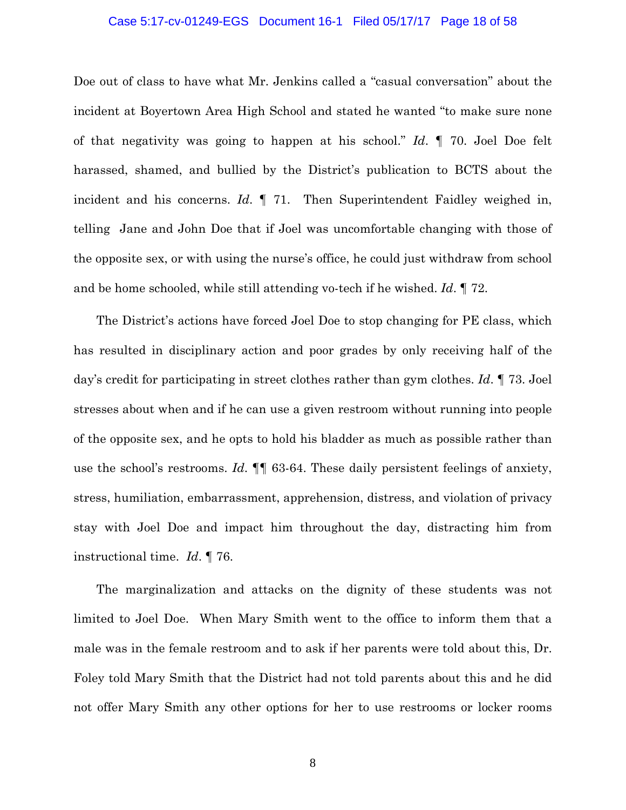### Case 5:17-cv-01249-EGS Document 16-1 Filed 05/17/17 Page 18 of 58

Doe out of class to have what Mr. Jenkins called a "casual conversation" about the incident at Boyertown Area High School and stated he wanted "to make sure none of that negativity was going to happen at his school." *Id*. ¶ 70. Joel Doe felt harassed, shamed, and bullied by the District's publication to BCTS about the incident and his concerns. *Id*. ¶ 71. Then Superintendent Faidley weighed in, telling Jane and John Doe that if Joel was uncomfortable changing with those of the opposite sex, or with using the nurse's office, he could just withdraw from school and be home schooled, while still attending vo-tech if he wished. *Id*. ¶ 72.

The District's actions have forced Joel Doe to stop changing for PE class, which has resulted in disciplinary action and poor grades by only receiving half of the day's credit for participating in street clothes rather than gym clothes. *Id*. ¶ 73. Joel stresses about when and if he can use a given restroom without running into people of the opposite sex, and he opts to hold his bladder as much as possible rather than use the school's restrooms. *Id*. ¶¶ 63-64. These daily persistent feelings of anxiety, stress, humiliation, embarrassment, apprehension, distress, and violation of privacy stay with Joel Doe and impact him throughout the day, distracting him from instructional time. *Id*. ¶ 76.

The marginalization and attacks on the dignity of these students was not limited to Joel Doe. When Mary Smith went to the office to inform them that a male was in the female restroom and to ask if her parents were told about this, Dr. Foley told Mary Smith that the District had not told parents about this and he did not offer Mary Smith any other options for her to use restrooms or locker rooms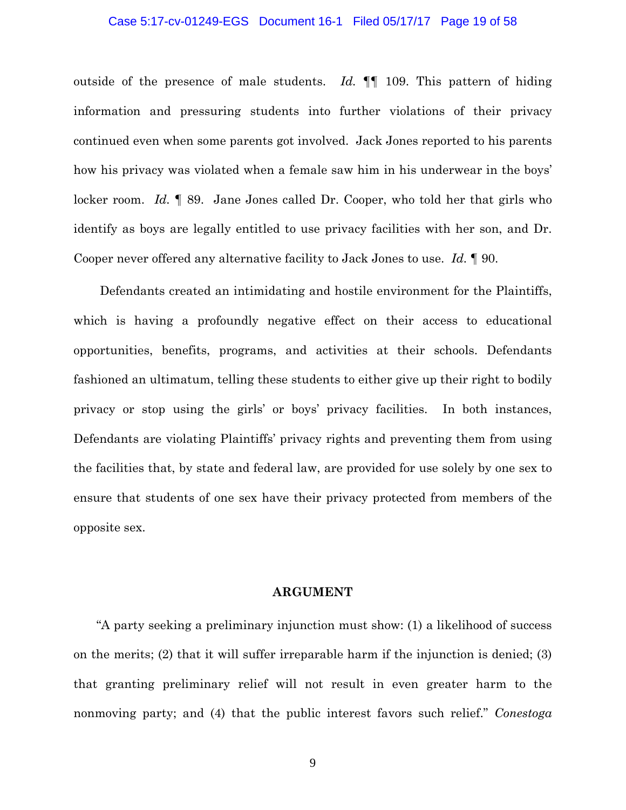### Case 5:17-cv-01249-EGS Document 16-1 Filed 05/17/17 Page 19 of 58

outside of the presence of male students. *Id.* ¶¶ 109. This pattern of hiding information and pressuring students into further violations of their privacy continued even when some parents got involved. Jack Jones reported to his parents how his privacy was violated when a female saw him in his underwear in the boys' locker room. *Id.* **[89.** Jane Jones called Dr. Cooper, who told her that girls who identify as boys are legally entitled to use privacy facilities with her son, and Dr. Cooper never offered any alternative facility to Jack Jones to use. *Id.* ¶ 90.

 Defendants created an intimidating and hostile environment for the Plaintiffs, which is having a profoundly negative effect on their access to educational opportunities, benefits, programs, and activities at their schools. Defendants fashioned an ultimatum, telling these students to either give up their right to bodily privacy or stop using the girls' or boys' privacy facilities. In both instances, Defendants are violating Plaintiffs' privacy rights and preventing them from using the facilities that, by state and federal law, are provided for use solely by one sex to ensure that students of one sex have their privacy protected from members of the opposite sex.

### **ARGUMENT**

"A party seeking a preliminary injunction must show: (1) a likelihood of success on the merits; (2) that it will suffer irreparable harm if the injunction is denied; (3) that granting preliminary relief will not result in even greater harm to the nonmoving party; and (4) that the public interest favors such relief." *Conestoga*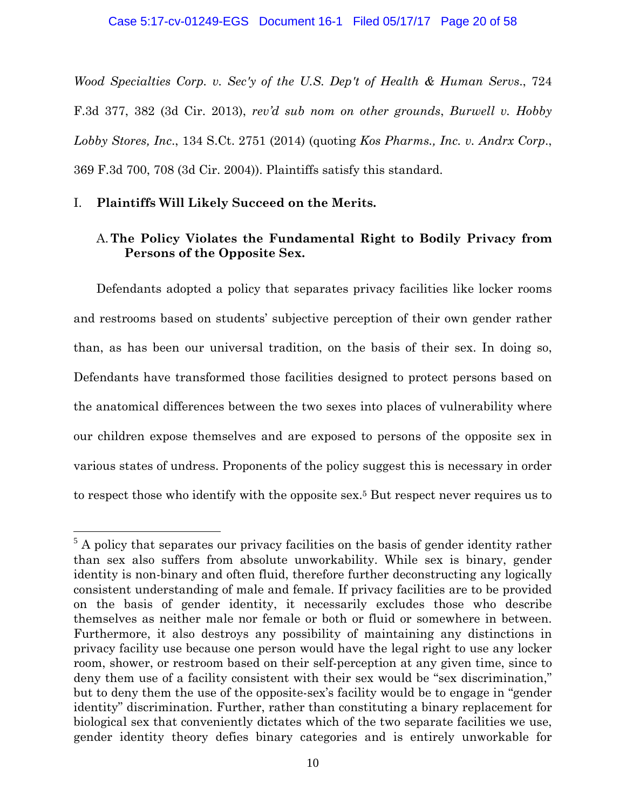*Wood Specialties Corp. v. Sec'y of the U.S. Dep't of Health & Human Servs*., 724 F.3d 377, 382 (3d Cir. 2013), *rev'd sub nom on other grounds*, *Burwell v. Hobby Lobby Stores, Inc*., 134 S.Ct. 2751 (2014) (quoting *Kos Pharms., Inc. v. Andrx Corp*., 369 F.3d 700, 708 (3d Cir. 2004)). Plaintiffs satisfy this standard.

## I. **Plaintiffs Will Likely Succeed on the Merits.**

 $\overline{a}$ 

# A.**The Policy Violates the Fundamental Right to Bodily Privacy from Persons of the Opposite Sex.**

Defendants adopted a policy that separates privacy facilities like locker rooms and restrooms based on students' subjective perception of their own gender rather than, as has been our universal tradition, on the basis of their sex. In doing so, Defendants have transformed those facilities designed to protect persons based on the anatomical differences between the two sexes into places of vulnerability where our children expose themselves and are exposed to persons of the opposite sex in various states of undress. Proponents of the policy suggest this is necessary in order to respect those who identify with the opposite sex.5 But respect never requires us to

 $5$  A policy that separates our privacy facilities on the basis of gender identity rather than sex also suffers from absolute unworkability. While sex is binary, gender identity is non-binary and often fluid, therefore further deconstructing any logically consistent understanding of male and female. If privacy facilities are to be provided on the basis of gender identity, it necessarily excludes those who describe themselves as neither male nor female or both or fluid or somewhere in between. Furthermore, it also destroys any possibility of maintaining any distinctions in privacy facility use because one person would have the legal right to use any locker room, shower, or restroom based on their self-perception at any given time, since to deny them use of a facility consistent with their sex would be "sex discrimination," but to deny them the use of the opposite-sex's facility would be to engage in "gender identity" discrimination. Further, rather than constituting a binary replacement for biological sex that conveniently dictates which of the two separate facilities we use, gender identity theory defies binary categories and is entirely unworkable for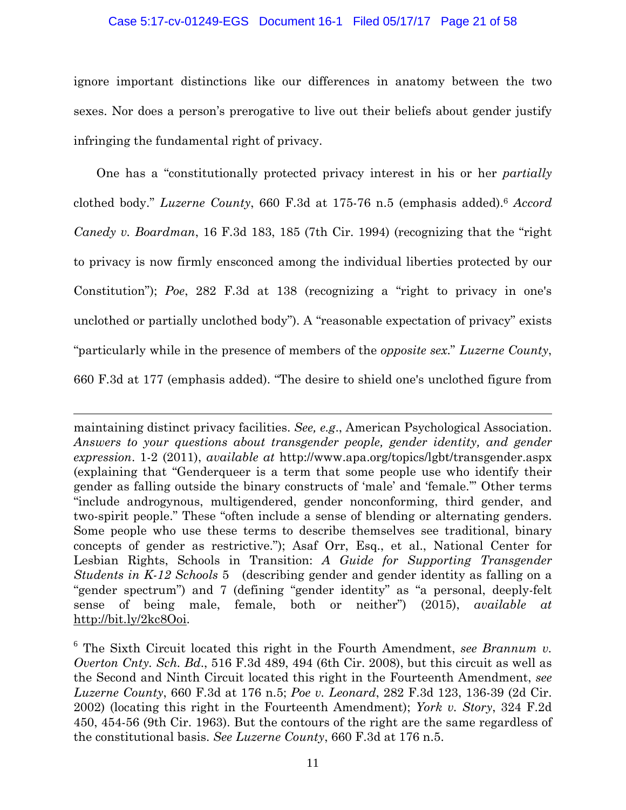### Case 5:17-cv-01249-EGS Document 16-1 Filed 05/17/17 Page 21 of 58

ignore important distinctions like our differences in anatomy between the two sexes. Nor does a person's prerogative to live out their beliefs about gender justify infringing the fundamental right of privacy.

One has a "constitutionally protected privacy interest in his or her *partially*  clothed body." *Luzerne County*, 660 F.3d at 175-76 n.5 (emphasis added).6 *Accord Canedy v. Boardman*, 16 F.3d 183, 185 (7th Cir. 1994) (recognizing that the "right to privacy is now firmly ensconced among the individual liberties protected by our Constitution"); *Poe*, 282 F.3d at 138 (recognizing a "right to privacy in one's unclothed or partially unclothed body"). A "reasonable expectation of privacy" exists "particularly while in the presence of members of the *opposite sex*." *Luzerne County*, 660 F.3d at 177 (emphasis added). "The desire to shield one's unclothed figure from

maintaining distinct privacy facilities. *See, e.g*., American Psychological Association. Answers to your questions about transgender people, gender identity, and gender *expression*. 1-2 (2011), *available at* http://www.apa.org/topics/lgbt/transgender.aspx (explaining that "Genderqueer is a term that some people use who identify their gender as falling outside the binary constructs of 'male' and 'female.'" Other terms "include androgynous, multigendered, gender nonconforming, third gender, and two-spirit people." These "often include a sense of blending or alternating genders. Some people who use these terms to describe themselves see traditional, binary concepts of gender as restrictive."); Asaf Orr, Esq., et al., National Center for Lesbian Rights, Schools in Transition: *A Guide for Supporting Transgender Students in K-12 Schools* 5 (describing gender and gender identity as falling on a "gender spectrum") and 7 (defining "gender identity" as "a personal, deeply-felt sense of being male, female, both or neither") (2015), *available at* http://bit.ly/2kc8Ooi.

1

6 The Sixth Circuit located this right in the Fourth Amendment, *see Brannum v. Overton Cnty. Sch. Bd*., 516 F.3d 489, 494 (6th Cir. 2008), but this circuit as well as the Second and Ninth Circuit located this right in the Fourteenth Amendment, *see Luzerne County*, 660 F.3d at 176 n.5; *Poe v. Leonard*, 282 F.3d 123, 136-39 (2d Cir. 2002) (locating this right in the Fourteenth Amendment); *York v. Story*, 324 F.2d 450, 454-56 (9th Cir. 1963). But the contours of the right are the same regardless of the constitutional basis. *See Luzerne County*, 660 F.3d at 176 n.5.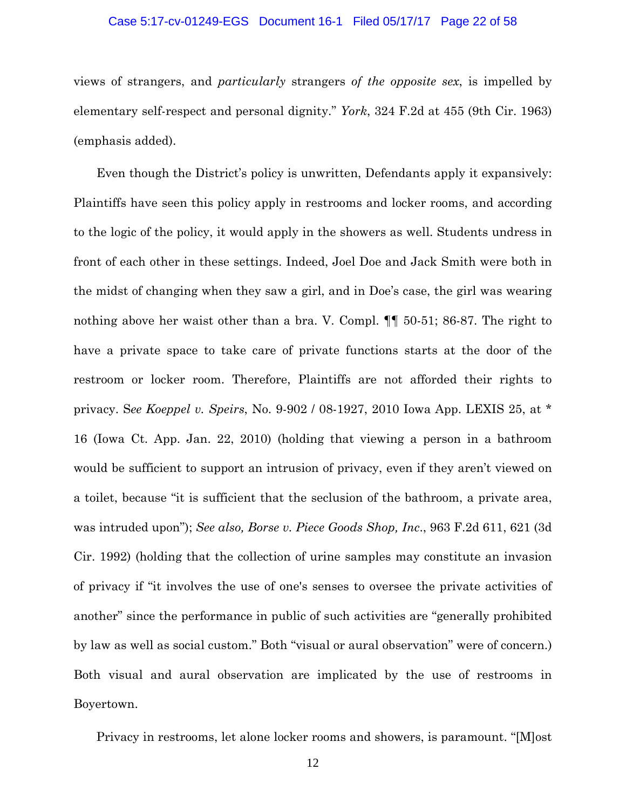### Case 5:17-cv-01249-EGS Document 16-1 Filed 05/17/17 Page 22 of 58

views of strangers, and *particularly* strangers *of the opposite sex*, is impelled by elementary self-respect and personal dignity." *York*, 324 F.2d at 455 (9th Cir. 1963) (emphasis added).

Even though the District's policy is unwritten, Defendants apply it expansively: Plaintiffs have seen this policy apply in restrooms and locker rooms, and according to the logic of the policy, it would apply in the showers as well. Students undress in front of each other in these settings. Indeed, Joel Doe and Jack Smith were both in the midst of changing when they saw a girl, and in Doe's case, the girl was wearing nothing above her waist other than a bra. V. Compl. ¶¶ 50-51; 86-87. The right to have a private space to take care of private functions starts at the door of the restroom or locker room. Therefore, Plaintiffs are not afforded their rights to privacy. S*ee Koeppel v. Speirs*, No. 9-902 / 08-1927, 2010 Iowa App. LEXIS 25, at \* 16 (Iowa Ct. App. Jan. 22, 2010) (holding that viewing a person in a bathroom would be sufficient to support an intrusion of privacy, even if they aren't viewed on a toilet, because "it is sufficient that the seclusion of the bathroom, a private area, was intruded upon"); *See also, Borse v. Piece Goods Shop, Inc*., 963 F.2d 611, 621 (3d Cir. 1992) (holding that the collection of urine samples may constitute an invasion of privacy if "it involves the use of one's senses to oversee the private activities of another" since the performance in public of such activities are "generally prohibited by law as well as social custom." Both "visual or aural observation" were of concern.) Both visual and aural observation are implicated by the use of restrooms in Boyertown.

Privacy in restrooms, let alone locker rooms and showers, is paramount. "[M]ost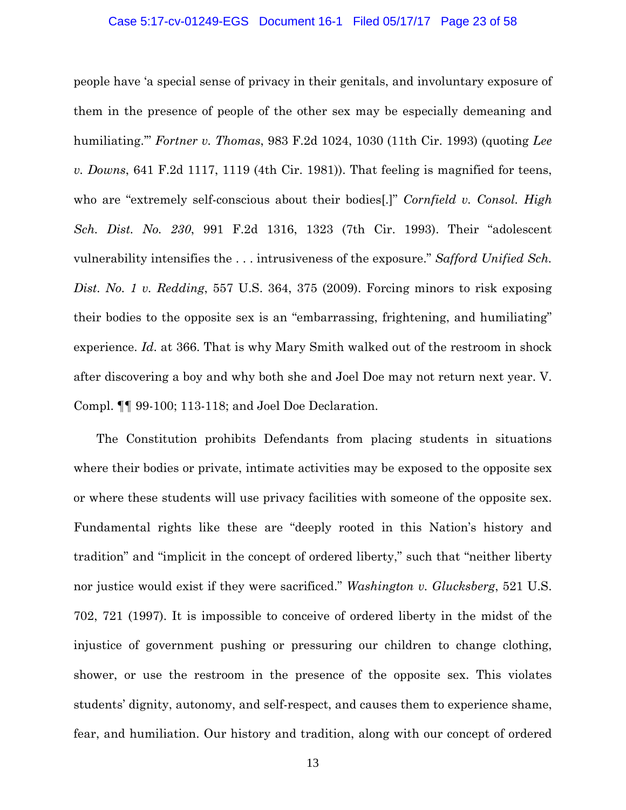### Case 5:17-cv-01249-EGS Document 16-1 Filed 05/17/17 Page 23 of 58

people have 'a special sense of privacy in their genitals, and involuntary exposure of them in the presence of people of the other sex may be especially demeaning and humiliating.'" *Fortner v. Thomas*, 983 F.2d 1024, 1030 (11th Cir. 1993) (quoting *Lee v. Downs*, 641 F.2d 1117, 1119 (4th Cir. 1981)). That feeling is magnified for teens, who are "extremely self-conscious about their bodies[.]" *Cornfield v. Consol. High Sch. Dist. No. 230*, 991 F.2d 1316, 1323 (7th Cir. 1993). Their "adolescent vulnerability intensifies the . . . intrusiveness of the exposure." *Safford Unified Sch. Dist. No. 1 v. Redding*, 557 U.S. 364, 375 (2009). Forcing minors to risk exposing their bodies to the opposite sex is an "embarrassing, frightening, and humiliating" experience. *Id*. at 366. That is why Mary Smith walked out of the restroom in shock after discovering a boy and why both she and Joel Doe may not return next year. V. Compl. ¶¶ 99-100; 113-118; and Joel Doe Declaration.

The Constitution prohibits Defendants from placing students in situations where their bodies or private, intimate activities may be exposed to the opposite sex or where these students will use privacy facilities with someone of the opposite sex. Fundamental rights like these are "deeply rooted in this Nation's history and tradition" and "implicit in the concept of ordered liberty," such that "neither liberty nor justice would exist if they were sacrificed." *Washington v. Glucksberg*, 521 U.S. 702, 721 (1997). It is impossible to conceive of ordered liberty in the midst of the injustice of government pushing or pressuring our children to change clothing, shower, or use the restroom in the presence of the opposite sex. This violates students' dignity, autonomy, and self-respect, and causes them to experience shame, fear, and humiliation. Our history and tradition, along with our concept of ordered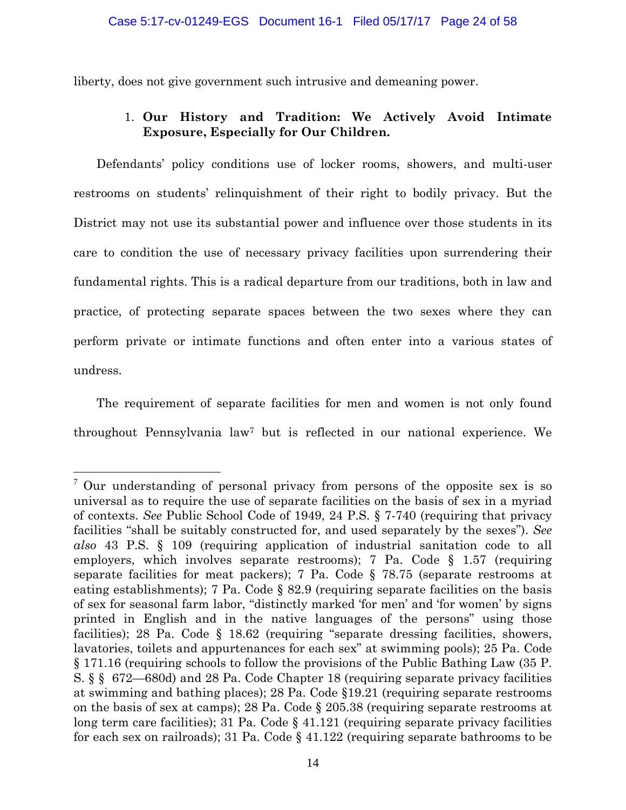liberty, does not give government such intrusive and demeaning power.

# 1. **Our History and Tradition: We Actively Avoid Intimate Exposure, Especially for Our Children.**

Defendants' policy conditions use of locker rooms, showers, and multi-user restrooms on students' relinquishment of their right to bodily privacy. But the District may not use its substantial power and influence over those students in its care to condition the use of necessary privacy facilities upon surrendering their fundamental rights. This is a radical departure from our traditions, both in law and practice, of protecting separate spaces between the two sexes where they can perform private or intimate functions and often enter into a various states of undress.

The requirement of separate facilities for men and women is not only found throughout Pennsylvania law7 but is reflected in our national experience. We

 $\overline{a}$ 

<sup>&</sup>lt;sup>7</sup> Our understanding of personal privacy from persons of the opposite sex is so universal as to require the use of separate facilities on the basis of sex in a myriad of contexts. *See* Public School Code of 1949, 24 P.S. § 7-740 (requiring that privacy facilities "shall be suitably constructed for, and used separately by the sexes"). *See also* 43 P.S. § 109 (requiring application of industrial sanitation code to all employers, which involves separate restrooms); 7 Pa. Code  $\S$  1.57 (requiring separate facilities for meat packers); 7 Pa. Code § 78.75 (separate restrooms at eating establishments); 7 Pa. Code § 82.9 (requiring separate facilities on the basis of sex for seasonal farm labor, "distinctly marked 'for men' and 'for women' by signs printed in English and in the native languages of the persons" using those facilities); 28 Pa. Code § 18.62 (requiring "separate dressing facilities, showers, lavatories, toilets and appurtenances for each sex" at swimming pools); 25 Pa. Code § 171.16 (requiring schools to follow the provisions of the Public Bathing Law (35 P. S. § § 672—680d) and 28 Pa. Code Chapter 18 (requiring separate privacy facilities at swimming and bathing places); 28 Pa. Code §19.21 (requiring separate restrooms on the basis of sex at camps); 28 Pa. Code § 205.38 (requiring separate restrooms at long term care facilities); 31 Pa. Code  $\S$  41.121 (requiring separate privacy facilities for each sex on railroads); 31 Pa. Code § 41.122 (requiring separate bathrooms to be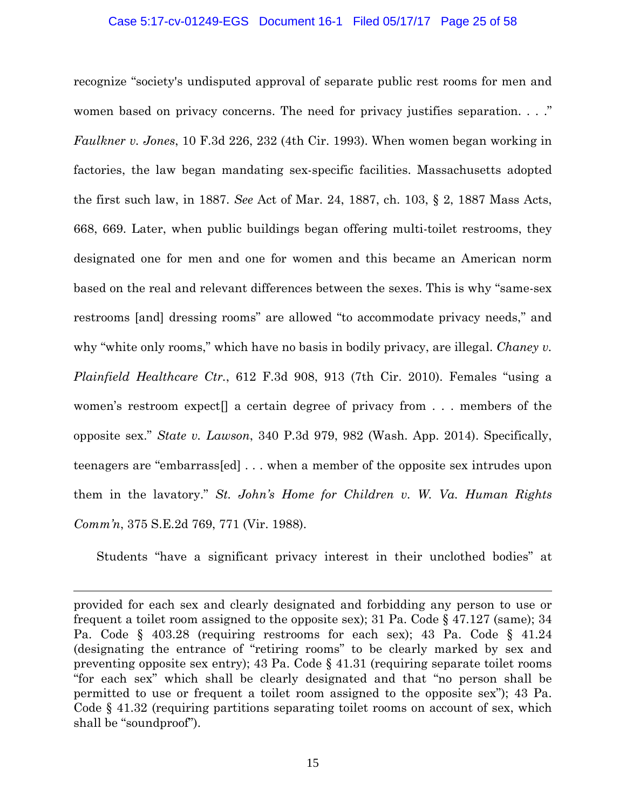### Case 5:17-cv-01249-EGS Document 16-1 Filed 05/17/17 Page 25 of 58

recognize "society's undisputed approval of separate public rest rooms for men and women based on privacy concerns. The need for privacy justifies separation. . . ." *Faulkner v. Jones*, 10 F.3d 226, 232 (4th Cir. 1993). When women began working in factories, the law began mandating sex-specific facilities. Massachusetts adopted the first such law, in 1887. *See* Act of Mar. 24, 1887, ch. 103, § 2, 1887 Mass Acts, 668, 669. Later, when public buildings began offering multi-toilet restrooms, they designated one for men and one for women and this became an American norm based on the real and relevant differences between the sexes. This is why "same-sex restrooms [and] dressing rooms" are allowed "to accommodate privacy needs," and why "white only rooms," which have no basis in bodily privacy, are illegal. *Chaney v. Plainfield Healthcare Ctr.*, 612 F.3d 908, 913 (7th Cir. 2010). Females "using a women's restroom expect[] a certain degree of privacy from . . . members of the opposite sex." *State v. Lawson*, 340 P.3d 979, 982 (Wash. App. 2014). Specifically, teenagers are "embarrass[ed] . . . when a member of the opposite sex intrudes upon them in the lavatory." *St. John's Home for Children v. W. Va. Human Rights Comm'n*, 375 S.E.2d 769, 771 (Vir. 1988).

Students "have a significant privacy interest in their unclothed bodies" at

<u>.</u>

provided for each sex and clearly designated and forbidding any person to use or frequent a toilet room assigned to the opposite sex); 31 Pa. Code  $\S$  47.127 (same); 34 Pa. Code § 403.28 (requiring restrooms for each sex); 43 Pa. Code § 41.24 (designating the entrance of "retiring rooms" to be clearly marked by sex and preventing opposite sex entry); 43 Pa. Code § 41.31 (requiring separate toilet rooms "for each sex" which shall be clearly designated and that "no person shall be permitted to use or frequent a toilet room assigned to the opposite sex"); 43 Pa. Code § 41.32 (requiring partitions separating toilet rooms on account of sex, which shall be "soundproof").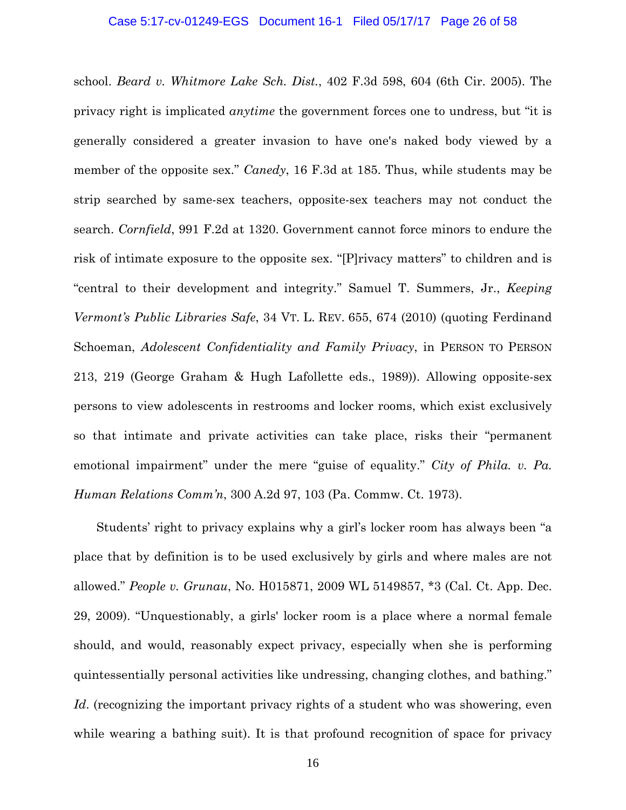### Case 5:17-cv-01249-EGS Document 16-1 Filed 05/17/17 Page 26 of 58

school. *Beard v. Whitmore Lake Sch. Dist.*, 402 F.3d 598, 604 (6th Cir. 2005). The privacy right is implicated *anytime* the government forces one to undress, but "it is generally considered a greater invasion to have one's naked body viewed by a member of the opposite sex." *Canedy*, 16 F.3d at 185. Thus, while students may be strip searched by same-sex teachers, opposite-sex teachers may not conduct the search. *Cornfield*, 991 F.2d at 1320. Government cannot force minors to endure the risk of intimate exposure to the opposite sex. "[P]rivacy matters" to children and is "central to their development and integrity." Samuel T. Summers, Jr., *Keeping Vermont's Public Libraries Safe*, 34 VT. L. REV. 655, 674 (2010) (quoting Ferdinand Schoeman, *Adolescent Confidentiality and Family Privacy*, in PERSON TO PERSON 213, 219 (George Graham & Hugh Lafollette eds., 1989)). Allowing opposite-sex persons to view adolescents in restrooms and locker rooms, which exist exclusively so that intimate and private activities can take place, risks their "permanent emotional impairment" under the mere "guise of equality." *City of Phila. v. Pa. Human Relations Comm'n*, 300 A.2d 97, 103 (Pa. Commw. Ct. 1973).

Students' right to privacy explains why a girl's locker room has always been "a place that by definition is to be used exclusively by girls and where males are not allowed." *People v. Grunau*, No. H015871, 2009 WL 5149857, \*3 (Cal. Ct. App. Dec. 29, 2009). "Unquestionably, a girls' locker room is a place where a normal female should, and would, reasonably expect privacy, especially when she is performing quintessentially personal activities like undressing, changing clothes, and bathing." Id. (recognizing the important privacy rights of a student who was showering, even while wearing a bathing suit). It is that profound recognition of space for privacy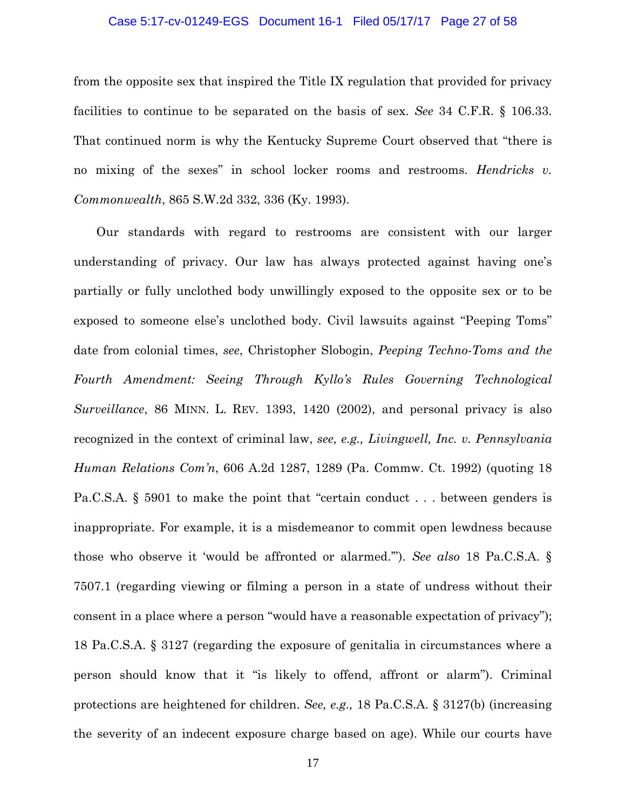### Case 5:17-cv-01249-EGS Document 16-1 Filed 05/17/17 Page 27 of 58

from the opposite sex that inspired the Title IX regulation that provided for privacy facilities to continue to be separated on the basis of sex. *See* 34 C.F.R. § 106.33. That continued norm is why the Kentucky Supreme Court observed that "there is no mixing of the sexes" in school locker rooms and restrooms. *Hendricks v. Commonwealth*, 865 S.W.2d 332, 336 (Ky. 1993).

Our standards with regard to restrooms are consistent with our larger understanding of privacy. Our law has always protected against having one's partially or fully unclothed body unwillingly exposed to the opposite sex or to be exposed to someone else's unclothed body. Civil lawsuits against "Peeping Toms" date from colonial times, *see*, Christopher Slobogin, *Peeping Techno-Toms and the Fourth Amendment: Seeing Through Kyllo's Rules Governing Technological Surveillance*, 86 MINN. L. REV. 1393, 1420 (2002), and personal privacy is also recognized in the context of criminal law, *see, e.g., Livingwell, Inc. v. Pennsylvania Human Relations Com'n*, 606 A.2d 1287, 1289 (Pa. Commw. Ct. 1992) (quoting 18 Pa.C.S.A. § 5901 to make the point that "certain conduct . . . between genders is inappropriate. For example, it is a misdemeanor to commit open lewdness because those who observe it 'would be affronted or alarmed.'"). *See also* 18 Pa.C.S.A. § 7507.1 (regarding viewing or filming a person in a state of undress without their consent in a place where a person "would have a reasonable expectation of privacy"); 18 Pa.C.S.A. § 3127 (regarding the exposure of genitalia in circumstances where a person should know that it "is likely to offend, affront or alarm"). Criminal protections are heightened for children. *See, e.g.,* 18 Pa.C.S.A. § 3127(b) (increasing the severity of an indecent exposure charge based on age). While our courts have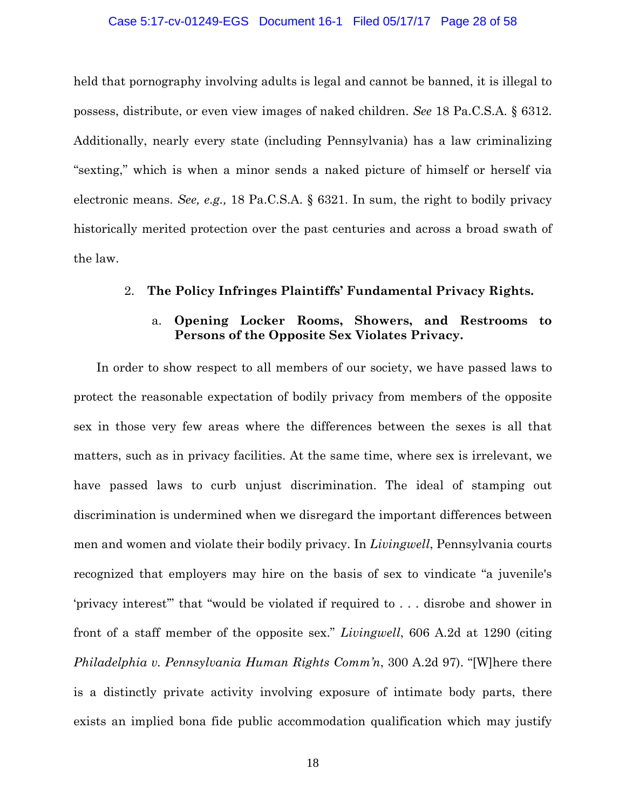### Case 5:17-cv-01249-EGS Document 16-1 Filed 05/17/17 Page 28 of 58

held that pornography involving adults is legal and cannot be banned, it is illegal to possess, distribute, or even view images of naked children. *See* 18 Pa.C.S.A. § 6312. Additionally, nearly every state (including Pennsylvania) has a law criminalizing "sexting," which is when a minor sends a naked picture of himself or herself via electronic means. *See, e.g.,* 18 Pa.C.S.A. § 6321. In sum, the right to bodily privacy historically merited protection over the past centuries and across a broad swath of the law.

### 2. **The Policy Infringes Plaintiffs' Fundamental Privacy Rights.**

## a. **Opening Locker Rooms, Showers, and Restrooms to Persons of the Opposite Sex Violates Privacy.**

In order to show respect to all members of our society, we have passed laws to protect the reasonable expectation of bodily privacy from members of the opposite sex in those very few areas where the differences between the sexes is all that matters, such as in privacy facilities. At the same time, where sex is irrelevant, we have passed laws to curb unjust discrimination. The ideal of stamping out discrimination is undermined when we disregard the important differences between men and women and violate their bodily privacy. In *Livingwell*, Pennsylvania courts recognized that employers may hire on the basis of sex to vindicate "a juvenile's 'privacy interest'" that "would be violated if required to . . . disrobe and shower in front of a staff member of the opposite sex." *Livingwell*, 606 A.2d at 1290 (citing *Philadelphia v. Pennsylvania Human Rights Comm'n*, 300 A.2d 97). "[W]here there is a distinctly private activity involving exposure of intimate body parts, there exists an implied bona fide public accommodation qualification which may justify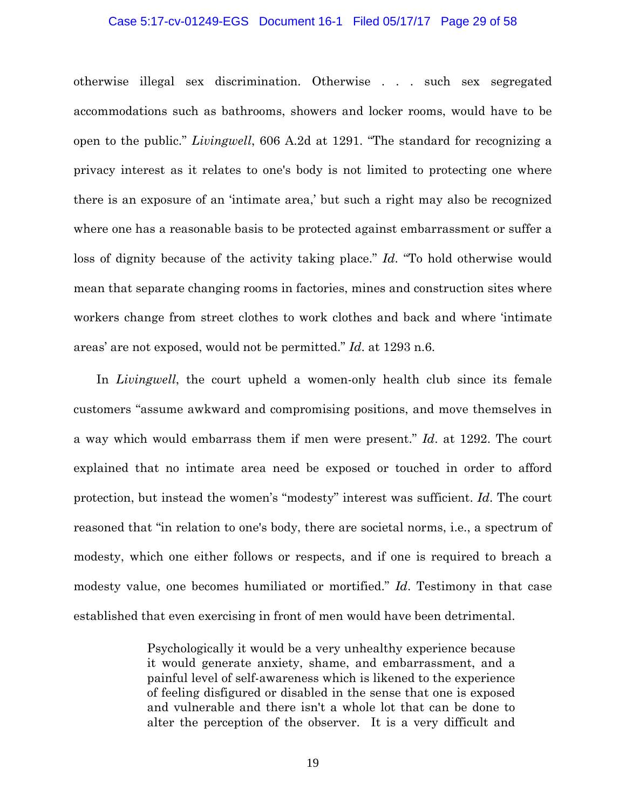### Case 5:17-cv-01249-EGS Document 16-1 Filed 05/17/17 Page 29 of 58

otherwise illegal sex discrimination. Otherwise . . . such sex segregated accommodations such as bathrooms, showers and locker rooms, would have to be open to the public." *Livingwell*, 606 A.2d at 1291. "The standard for recognizing a privacy interest as it relates to one's body is not limited to protecting one where there is an exposure of an 'intimate area,' but such a right may also be recognized where one has a reasonable basis to be protected against embarrassment or suffer a loss of dignity because of the activity taking place." *Id*. "To hold otherwise would mean that separate changing rooms in factories, mines and construction sites where workers change from street clothes to work clothes and back and where 'intimate areas' are not exposed, would not be permitted." *Id*. at 1293 n.6.

In *Livingwell*, the court upheld a women-only health club since its female customers "assume awkward and compromising positions, and move themselves in a way which would embarrass them if men were present." *Id*. at 1292. The court explained that no intimate area need be exposed or touched in order to afford protection, but instead the women's "modesty" interest was sufficient. *Id*. The court reasoned that "in relation to one's body, there are societal norms, i.e., a spectrum of modesty, which one either follows or respects, and if one is required to breach a modesty value, one becomes humiliated or mortified." *Id*. Testimony in that case established that even exercising in front of men would have been detrimental.

> Psychologically it would be a very unhealthy experience because it would generate anxiety, shame, and embarrassment, and a painful level of self-awareness which is likened to the experience of feeling disfigured or disabled in the sense that one is exposed and vulnerable and there isn't a whole lot that can be done to alter the perception of the observer. It is a very difficult and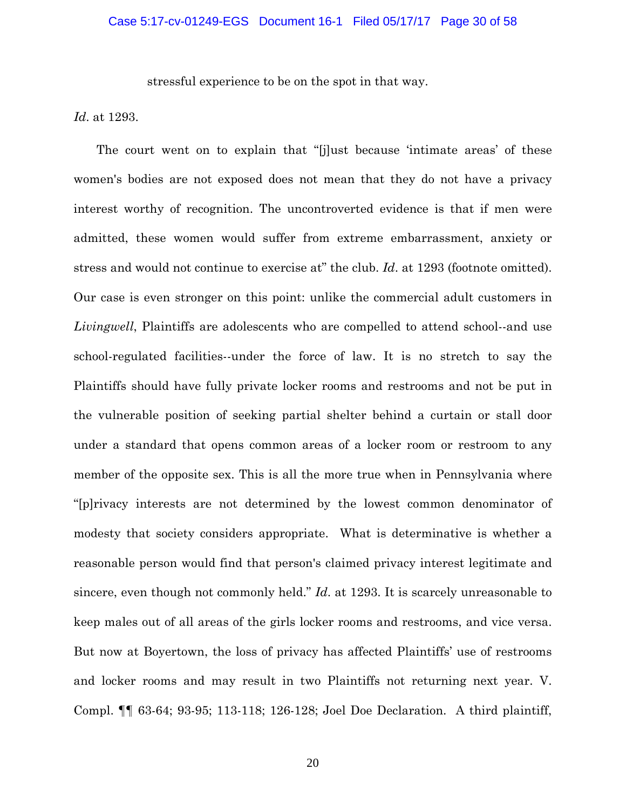stressful experience to be on the spot in that way.

*Id*. at 1293.

The court went on to explain that "[j]ust because 'intimate areas' of these women's bodies are not exposed does not mean that they do not have a privacy interest worthy of recognition. The uncontroverted evidence is that if men were admitted, these women would suffer from extreme embarrassment, anxiety or stress and would not continue to exercise at" the club. *Id*. at 1293 (footnote omitted). Our case is even stronger on this point: unlike the commercial adult customers in *Livingwell*, Plaintiffs are adolescents who are compelled to attend school--and use school-regulated facilities--under the force of law. It is no stretch to say the Plaintiffs should have fully private locker rooms and restrooms and not be put in the vulnerable position of seeking partial shelter behind a curtain or stall door under a standard that opens common areas of a locker room or restroom to any member of the opposite sex. This is all the more true when in Pennsylvania where "[p]rivacy interests are not determined by the lowest common denominator of modesty that society considers appropriate. What is determinative is whether a reasonable person would find that person's claimed privacy interest legitimate and sincere, even though not commonly held." *Id*. at 1293. It is scarcely unreasonable to keep males out of all areas of the girls locker rooms and restrooms, and vice versa. But now at Boyertown, the loss of privacy has affected Plaintiffs' use of restrooms and locker rooms and may result in two Plaintiffs not returning next year. V. Compl. ¶¶ 63-64; 93-95; 113-118; 126-128; Joel Doe Declaration. A third plaintiff,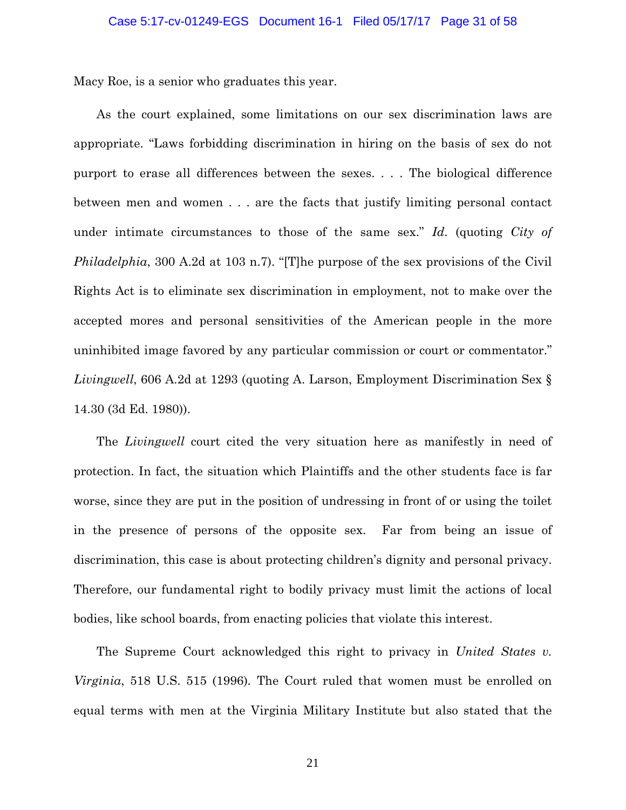Macy Roe, is a senior who graduates this year.

As the court explained, some limitations on our sex discrimination laws are appropriate. "Laws forbidding discrimination in hiring on the basis of sex do not purport to erase all differences between the sexes. . . . The biological difference between men and women . . . are the facts that justify limiting personal contact under intimate circumstances to those of the same sex." *Id*. (quoting *City of Philadelphia*, 300 A.2d at 103 n.7). "[T]he purpose of the sex provisions of the Civil Rights Act is to eliminate sex discrimination in employment, not to make over the accepted mores and personal sensitivities of the American people in the more uninhibited image favored by any particular commission or court or commentator." *Livingwell*, 606 A.2d at 1293 (quoting A. Larson, Employment Discrimination Sex § 14.30 (3d Ed. 1980)).

The *Livingwell* court cited the very situation here as manifestly in need of protection. In fact, the situation which Plaintiffs and the other students face is far worse, since they are put in the position of undressing in front of or using the toilet in the presence of persons of the opposite sex. Far from being an issue of discrimination, this case is about protecting children's dignity and personal privacy. Therefore, our fundamental right to bodily privacy must limit the actions of local bodies, like school boards, from enacting policies that violate this interest.

The Supreme Court acknowledged this right to privacy in *United States v. Virginia*, 518 U.S. 515 (1996)*.* The Court ruled that women must be enrolled on equal terms with men at the Virginia Military Institute but also stated that the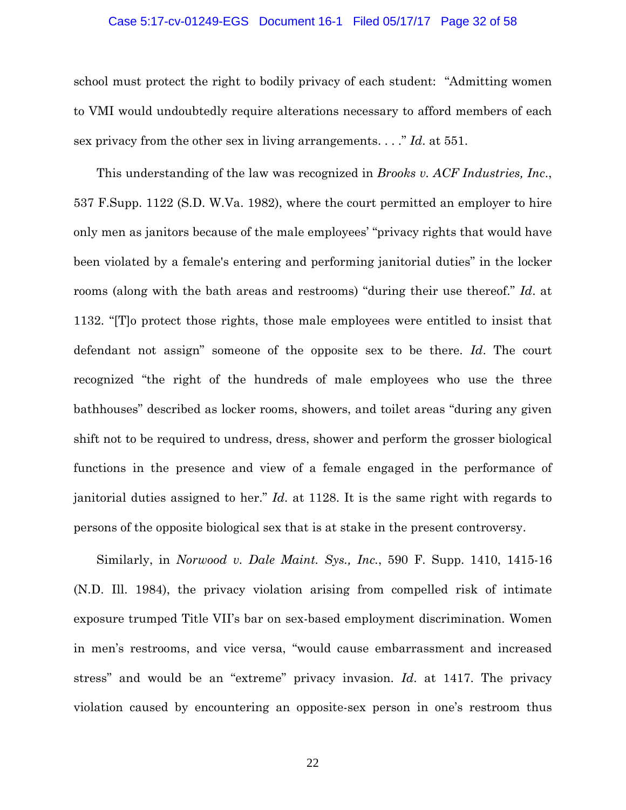### Case 5:17-cv-01249-EGS Document 16-1 Filed 05/17/17 Page 32 of 58

school must protect the right to bodily privacy of each student: "Admitting women to VMI would undoubtedly require alterations necessary to afford members of each sex privacy from the other sex in living arrangements. . . ." *Id*. at 551.

This understanding of the law was recognized in *Brooks v. ACF Industries, Inc*., 537 F.Supp. 1122 (S.D. W.Va. 1982), where the court permitted an employer to hire only men as janitors because of the male employees' "privacy rights that would have been violated by a female's entering and performing janitorial duties" in the locker rooms (along with the bath areas and restrooms) "during their use thereof." *Id*. at 1132. "[T]o protect those rights, those male employees were entitled to insist that defendant not assign" someone of the opposite sex to be there. *Id*. The court recognized "the right of the hundreds of male employees who use the three bathhouses" described as locker rooms, showers, and toilet areas "during any given shift not to be required to undress, dress, shower and perform the grosser biological functions in the presence and view of a female engaged in the performance of janitorial duties assigned to her." *Id*. at 1128. It is the same right with regards to persons of the opposite biological sex that is at stake in the present controversy.

Similarly, in *Norwood v. Dale Maint. Sys., Inc.*, 590 F. Supp. 1410, 1415-16 (N.D. Ill. 1984), the privacy violation arising from compelled risk of intimate exposure trumped Title VII's bar on sex-based employment discrimination. Women in men's restrooms, and vice versa, "would cause embarrassment and increased stress" and would be an "extreme" privacy invasion. *Id*. at 1417. The privacy violation caused by encountering an opposite-sex person in one's restroom thus

22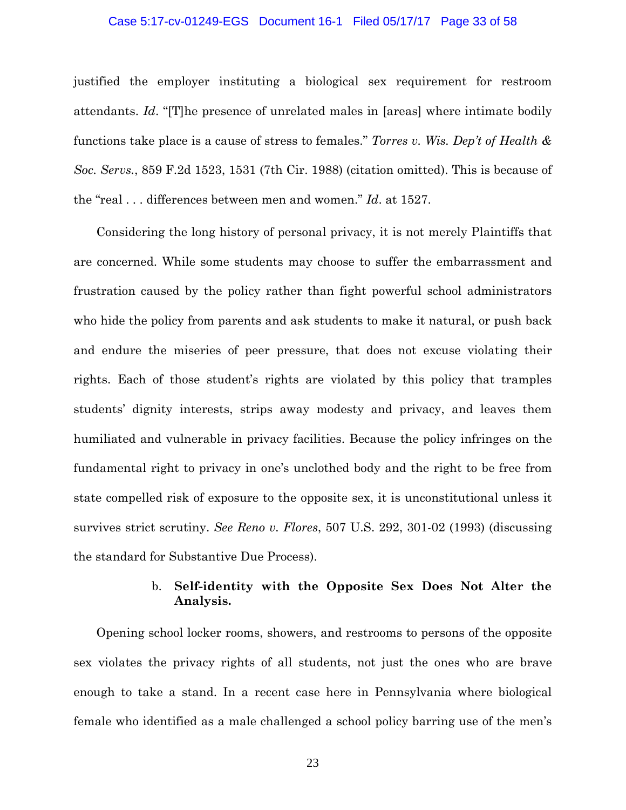### Case 5:17-cv-01249-EGS Document 16-1 Filed 05/17/17 Page 33 of 58

justified the employer instituting a biological sex requirement for restroom attendants. *Id*. "[T]he presence of unrelated males in [areas] where intimate bodily functions take place is a cause of stress to females." *Torres v. Wis. Dep't of Health & Soc. Servs.*, 859 F.2d 1523, 1531 (7th Cir. 1988) (citation omitted). This is because of the "real . . . differences between men and women." *Id*. at 1527.

Considering the long history of personal privacy, it is not merely Plaintiffs that are concerned. While some students may choose to suffer the embarrassment and frustration caused by the policy rather than fight powerful school administrators who hide the policy from parents and ask students to make it natural, or push back and endure the miseries of peer pressure, that does not excuse violating their rights. Each of those student's rights are violated by this policy that tramples students' dignity interests, strips away modesty and privacy, and leaves them humiliated and vulnerable in privacy facilities. Because the policy infringes on the fundamental right to privacy in one's unclothed body and the right to be free from state compelled risk of exposure to the opposite sex, it is unconstitutional unless it survives strict scrutiny. *See Reno v. Flores*, 507 U.S. 292, 301-02 (1993) (discussing the standard for Substantive Due Process).

# b. **Self-identity with the Opposite Sex Does Not Alter the Analysis.**

Opening school locker rooms, showers, and restrooms to persons of the opposite sex violates the privacy rights of all students, not just the ones who are brave enough to take a stand. In a recent case here in Pennsylvania where biological female who identified as a male challenged a school policy barring use of the men's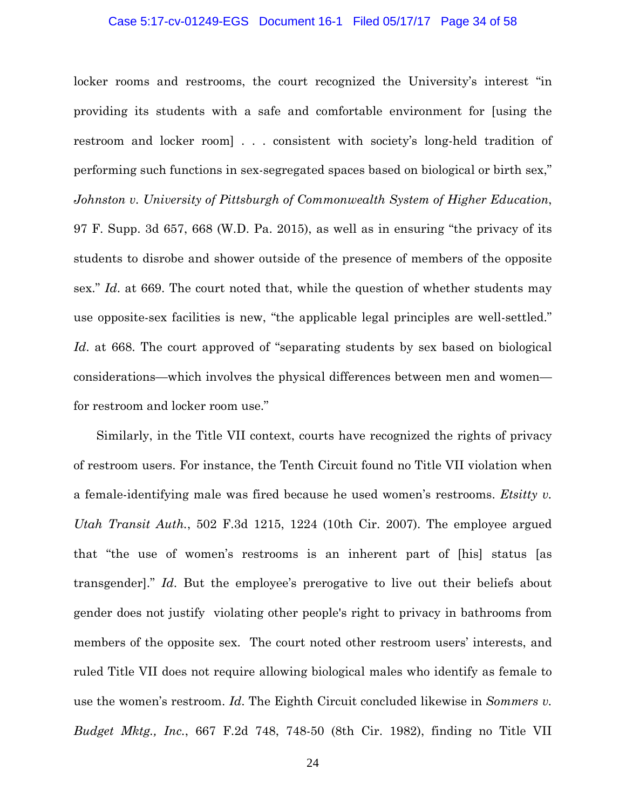### Case 5:17-cv-01249-EGS Document 16-1 Filed 05/17/17 Page 34 of 58

locker rooms and restrooms, the court recognized the University's interest "in providing its students with a safe and comfortable environment for [using the restroom and locker room] . . . consistent with society's long-held tradition of performing such functions in sex-segregated spaces based on biological or birth sex," *Johnston v. University of Pittsburgh of Commonwealth System of Higher Education*, 97 F. Supp. 3d 657, 668 (W.D. Pa. 2015), as well as in ensuring "the privacy of its students to disrobe and shower outside of the presence of members of the opposite sex." *Id*. at 669. The court noted that, while the question of whether students may use opposite-sex facilities is new, "the applicable legal principles are well-settled." *Id*. at 668. The court approved of "separating students by sex based on biological considerations—which involves the physical differences between men and women for restroom and locker room use."

Similarly, in the Title VII context, courts have recognized the rights of privacy of restroom users. For instance, the Tenth Circuit found no Title VII violation when a female-identifying male was fired because he used women's restrooms. *Etsitty v. Utah Transit Auth.*, 502 F.3d 1215, 1224 (10th Cir. 2007). The employee argued that "the use of women's restrooms is an inherent part of [his] status [as transgender]." *Id*. But the employee's prerogative to live out their beliefs about gender does not justify violating other people's right to privacy in bathrooms from members of the opposite sex. The court noted other restroom users' interests, and ruled Title VII does not require allowing biological males who identify as female to use the women's restroom. *Id*. The Eighth Circuit concluded likewise in *Sommers v. Budget Mktg., Inc.*, 667 F.2d 748, 748-50 (8th Cir. 1982), finding no Title VII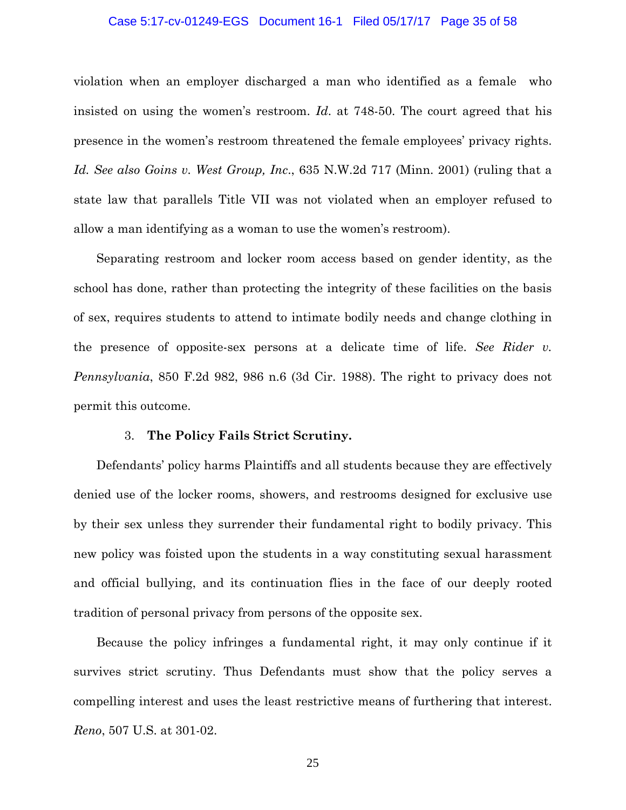### Case 5:17-cv-01249-EGS Document 16-1 Filed 05/17/17 Page 35 of 58

violation when an employer discharged a man who identified as a female who insisted on using the women's restroom. *Id*. at 748-50. The court agreed that his presence in the women's restroom threatened the female employees' privacy rights. *Id. See also Goins v. West Group, Inc*., 635 N.W.2d 717 (Minn. 2001) (ruling that a state law that parallels Title VII was not violated when an employer refused to allow a man identifying as a woman to use the women's restroom).

Separating restroom and locker room access based on gender identity, as the school has done, rather than protecting the integrity of these facilities on the basis of sex, requires students to attend to intimate bodily needs and change clothing in the presence of opposite-sex persons at a delicate time of life. *See Rider v. Pennsylvania*, 850 F.2d 982, 986 n.6 (3d Cir. 1988). The right to privacy does not permit this outcome.

### 3. **The Policy Fails Strict Scrutiny.**

Defendants' policy harms Plaintiffs and all students because they are effectively denied use of the locker rooms, showers, and restrooms designed for exclusive use by their sex unless they surrender their fundamental right to bodily privacy. This new policy was foisted upon the students in a way constituting sexual harassment and official bullying, and its continuation flies in the face of our deeply rooted tradition of personal privacy from persons of the opposite sex.

Because the policy infringes a fundamental right, it may only continue if it survives strict scrutiny. Thus Defendants must show that the policy serves a compelling interest and uses the least restrictive means of furthering that interest. *Reno*, 507 U.S. at 301-02.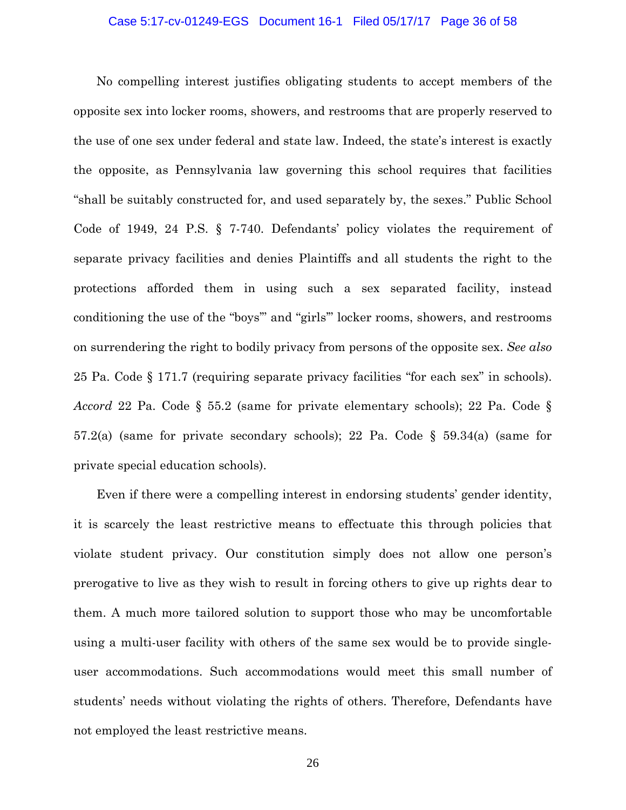### Case 5:17-cv-01249-EGS Document 16-1 Filed 05/17/17 Page 36 of 58

No compelling interest justifies obligating students to accept members of the opposite sex into locker rooms, showers, and restrooms that are properly reserved to the use of one sex under federal and state law. Indeed, the state's interest is exactly the opposite, as Pennsylvania law governing this school requires that facilities "shall be suitably constructed for, and used separately by, the sexes." Public School Code of 1949, 24 P.S. § 7-740. Defendants' policy violates the requirement of separate privacy facilities and denies Plaintiffs and all students the right to the protections afforded them in using such a sex separated facility, instead conditioning the use of the "boys'" and "girls'" locker rooms, showers, and restrooms on surrendering the right to bodily privacy from persons of the opposite sex. *See also*  25 Pa. Code § 171.7 (requiring separate privacy facilities "for each sex" in schools). *Accord* 22 Pa. Code § 55.2 (same for private elementary schools); 22 Pa. Code § 57.2(a) (same for private secondary schools); 22 Pa. Code § 59.34(a) (same for private special education schools).

Even if there were a compelling interest in endorsing students' gender identity, it is scarcely the least restrictive means to effectuate this through policies that violate student privacy. Our constitution simply does not allow one person's prerogative to live as they wish to result in forcing others to give up rights dear to them. A much more tailored solution to support those who may be uncomfortable using a multi-user facility with others of the same sex would be to provide singleuser accommodations. Such accommodations would meet this small number of students' needs without violating the rights of others. Therefore, Defendants have not employed the least restrictive means.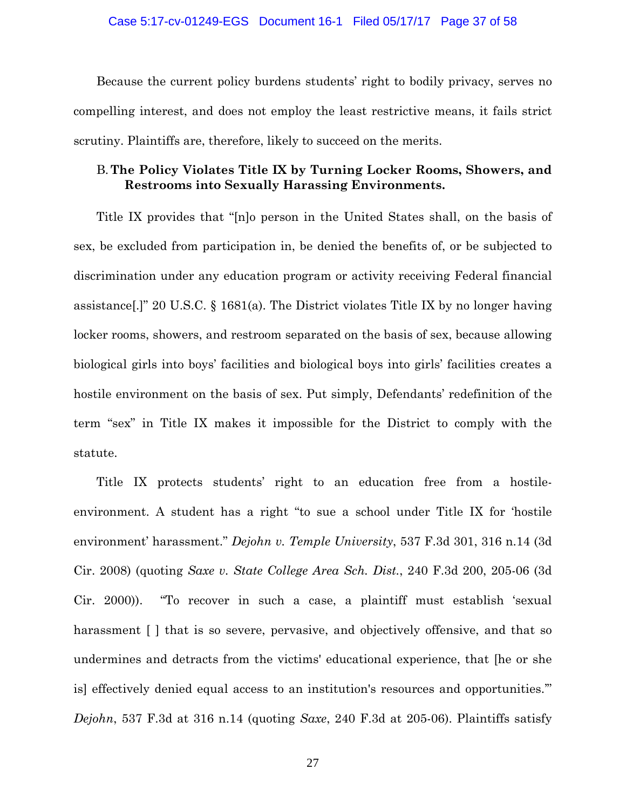### Case 5:17-cv-01249-EGS Document 16-1 Filed 05/17/17 Page 37 of 58

Because the current policy burdens students' right to bodily privacy, serves no compelling interest, and does not employ the least restrictive means, it fails strict scrutiny. Plaintiffs are, therefore, likely to succeed on the merits.

## B.**The Policy Violates Title IX by Turning Locker Rooms, Showers, and Restrooms into Sexually Harassing Environments.**

Title IX provides that "[n]o person in the United States shall, on the basis of sex, be excluded from participation in, be denied the benefits of, or be subjected to discrimination under any education program or activity receiving Federal financial assistance[.]" 20 U.S.C. § 1681(a). The District violates Title IX by no longer having locker rooms, showers, and restroom separated on the basis of sex, because allowing biological girls into boys' facilities and biological boys into girls' facilities creates a hostile environment on the basis of sex. Put simply, Defendants' redefinition of the term "sex" in Title IX makes it impossible for the District to comply with the statute.

Title IX protects students' right to an education free from a hostileenvironment. A student has a right "to sue a school under Title IX for 'hostile environment' harassment." *Dejohn v. Temple University*, 537 F.3d 301, 316 n.14 (3d Cir. 2008) (quoting *Saxe v. State College Area Sch. Dist.*, 240 F.3d 200, 205-06 (3d Cir. 2000)). "To recover in such a case, a plaintiff must establish 'sexual harassment [ ] that is so severe, pervasive, and objectively offensive, and that so undermines and detracts from the victims' educational experience, that [he or she is] effectively denied equal access to an institution's resources and opportunities.'" *Dejohn*, 537 F.3d at 316 n.14 (quoting *Saxe*, 240 F.3d at 205-06). Plaintiffs satisfy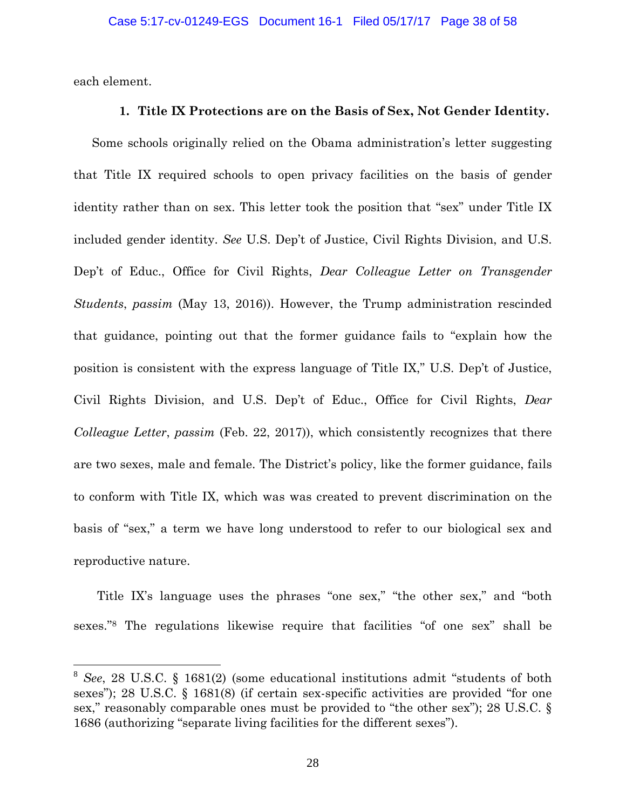each element.

 $\overline{a}$ 

### **1. Title IX Protections are on the Basis of Sex, Not Gender Identity.**

Some schools originally relied on the Obama administration's letter suggesting that Title IX required schools to open privacy facilities on the basis of gender identity rather than on sex. This letter took the position that "sex" under Title IX included gender identity. *See* U.S. Dep't of Justice, Civil Rights Division, and U.S. Dep't of Educ., Office for Civil Rights, *Dear Colleague Letter on Transgender Students*, *passim* (May 13, 2016)). However, the Trump administration rescinded that guidance, pointing out that the former guidance fails to "explain how the position is consistent with the express language of Title IX," U.S. Dep't of Justice, Civil Rights Division, and U.S. Dep't of Educ., Office for Civil Rights, *Dear Colleague Letter*, *passim* (Feb. 22, 2017)), which consistently recognizes that there are two sexes, male and female. The District's policy, like the former guidance, fails to conform with Title IX, which was was created to prevent discrimination on the basis of "sex," a term we have long understood to refer to our biological sex and reproductive nature.

Title IX's language uses the phrases "one sex," "the other sex," and "both sexes."8 The regulations likewise require that facilities "of one sex" shall be

<sup>8</sup> *See*, 28 U.S.C. § 1681(2) (some educational institutions admit "students of both sexes"); 28 U.S.C. § 1681(8) (if certain sex-specific activities are provided "for one sex," reasonably comparable ones must be provided to "the other sex"); 28 U.S.C. § 1686 (authorizing "separate living facilities for the different sexes").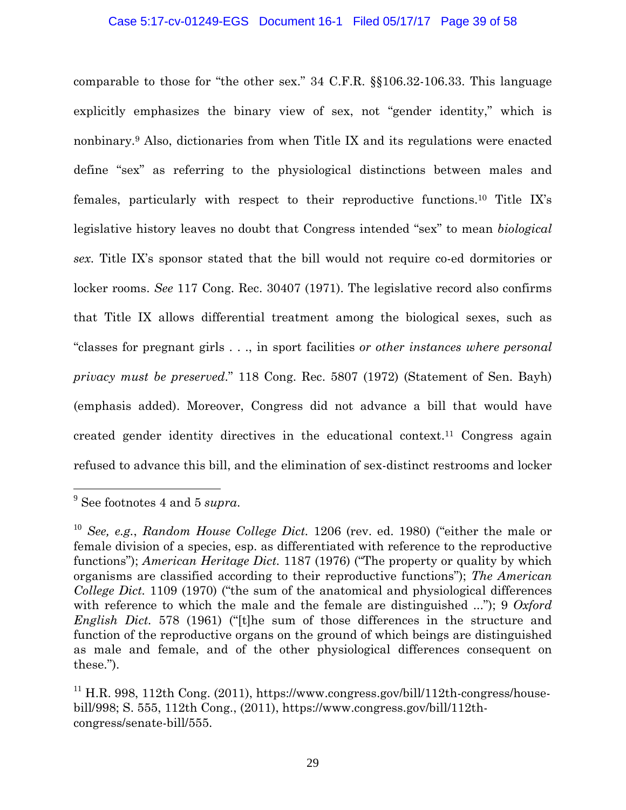### Case 5:17-cv-01249-EGS Document 16-1 Filed 05/17/17 Page 39 of 58

comparable to those for "the other sex." 34 C.F.R. §§106.32-106.33. This language explicitly emphasizes the binary view of sex, not "gender identity," which is nonbinary.9 Also, dictionaries from when Title IX and its regulations were enacted define "sex" as referring to the physiological distinctions between males and females, particularly with respect to their reproductive functions.10 Title IX's legislative history leaves no doubt that Congress intended "sex" to mean *biological sex*. Title IX's sponsor stated that the bill would not require co-ed dormitories or locker rooms. *See* 117 Cong. Rec. 30407 (1971). The legislative record also confirms that Title IX allows differential treatment among the biological sexes, such as "classes for pregnant girls . . ., in sport facilities *or other instances where personal privacy must be preserved*." 118 Cong. Rec. 5807 (1972) (Statement of Sen. Bayh) (emphasis added). Moreover, Congress did not advance a bill that would have created gender identity directives in the educational context.11 Congress again refused to advance this bill, and the elimination of sex-distinct restrooms and locker

 $\overline{a}$ 

<sup>9</sup> See footnotes 4 and 5 *supra*.

<sup>10</sup> *See, e.g.*, *Random House College Dict.* 1206 (rev. ed. 1980) ("either the male or female division of a species, esp. as differentiated with reference to the reproductive functions"); *American Heritage Dict.* 1187 (1976) ("The property or quality by which organisms are classified according to their reproductive functions"); *The American College Dict.* 1109 (1970) ("the sum of the anatomical and physiological differences with reference to which the male and the female are distinguished ..."); 9 *Oxford English Dict.* 578 (1961) ("[t]he sum of those differences in the structure and function of the reproductive organs on the ground of which beings are distinguished as male and female, and of the other physiological differences consequent on these.").

 $11$  H.R. 998, 112th Cong. (2011), https://www.congress.gov/bill/112th-congress/housebill/998; S. 555, 112th Cong., (2011), https://www.congress.gov/bill/112thcongress/senate-bill/555.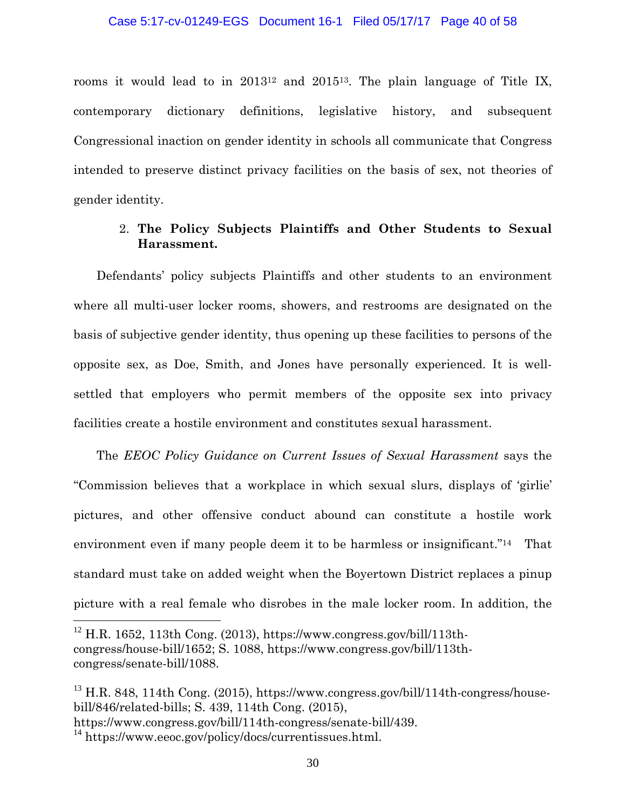rooms it would lead to in 201312 and 201513. The plain language of Title IX, contemporary dictionary definitions, legislative history, and subsequent Congressional inaction on gender identity in schools all communicate that Congress intended to preserve distinct privacy facilities on the basis of sex, not theories of gender identity.

# 2. **The Policy Subjects Plaintiffs and Other Students to Sexual Harassment.**

Defendants' policy subjects Plaintiffs and other students to an environment where all multi-user locker rooms, showers, and restrooms are designated on the basis of subjective gender identity, thus opening up these facilities to persons of the opposite sex, as Doe, Smith, and Jones have personally experienced. It is wellsettled that employers who permit members of the opposite sex into privacy facilities create a hostile environment and constitutes sexual harassment.

The *EEOC Policy Guidance on Current Issues of Sexual Harassment* says the "Commission believes that a workplace in which sexual slurs, displays of 'girlie' pictures, and other offensive conduct abound can constitute a hostile work environment even if many people deem it to be harmless or insignificant."<sup>14</sup> That standard must take on added weight when the Boyertown District replaces a pinup picture with a real female who disrobes in the male locker room. In addition, the

<u>.</u>

 $12$  H.R. 1652, 113th Cong. (2013), https://www.congress.gov/bill/113thcongress/house-bill/1652; S. 1088, https://www.congress.gov/bill/113thcongress/senate-bill/1088.

 $^{13}$  H.R. 848, 114th Cong. (2015), https://www.congress.gov/bill/114th-congress/housebill/846/related-bills; S. 439, 114th Cong. (2015),

https://www.congress.gov/bill/114th-congress/senate-bill/439.

<sup>&</sup>lt;sup>14</sup> https://www.eeoc.gov/policy/docs/currentissues.html.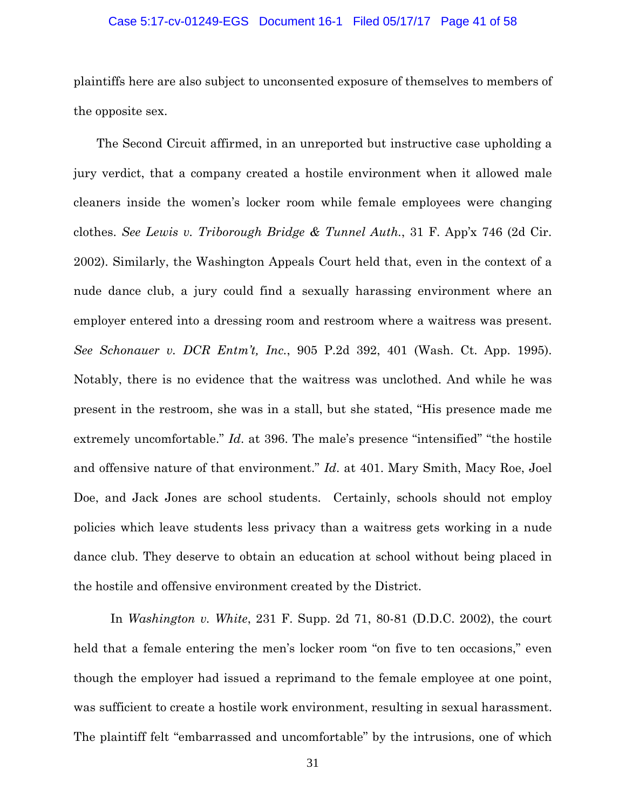### Case 5:17-cv-01249-EGS Document 16-1 Filed 05/17/17 Page 41 of 58

plaintiffs here are also subject to unconsented exposure of themselves to members of the opposite sex.

The Second Circuit affirmed, in an unreported but instructive case upholding a jury verdict, that a company created a hostile environment when it allowed male cleaners inside the women's locker room while female employees were changing clothes. *See Lewis v. Triborough Bridge & Tunnel Auth.*, 31 F. App'x 746 (2d Cir. 2002). Similarly, the Washington Appeals Court held that, even in the context of a nude dance club, a jury could find a sexually harassing environment where an employer entered into a dressing room and restroom where a waitress was present. *See Schonauer v. DCR Entm't, Inc.*, 905 P.2d 392, 401 (Wash. Ct. App. 1995). Notably, there is no evidence that the waitress was unclothed. And while he was present in the restroom, she was in a stall, but she stated, "His presence made me extremely uncomfortable." *Id*. at 396. The male's presence "intensified" "the hostile and offensive nature of that environment." *Id*. at 401. Mary Smith, Macy Roe, Joel Doe, and Jack Jones are school students. Certainly, schools should not employ policies which leave students less privacy than a waitress gets working in a nude dance club. They deserve to obtain an education at school without being placed in the hostile and offensive environment created by the District.

In *Washington v. White*, 231 F. Supp. 2d 71, 80-81 (D.D.C. 2002), the court held that a female entering the men's locker room "on five to ten occasions," even though the employer had issued a reprimand to the female employee at one point, was sufficient to create a hostile work environment, resulting in sexual harassment. The plaintiff felt "embarrassed and uncomfortable" by the intrusions, one of which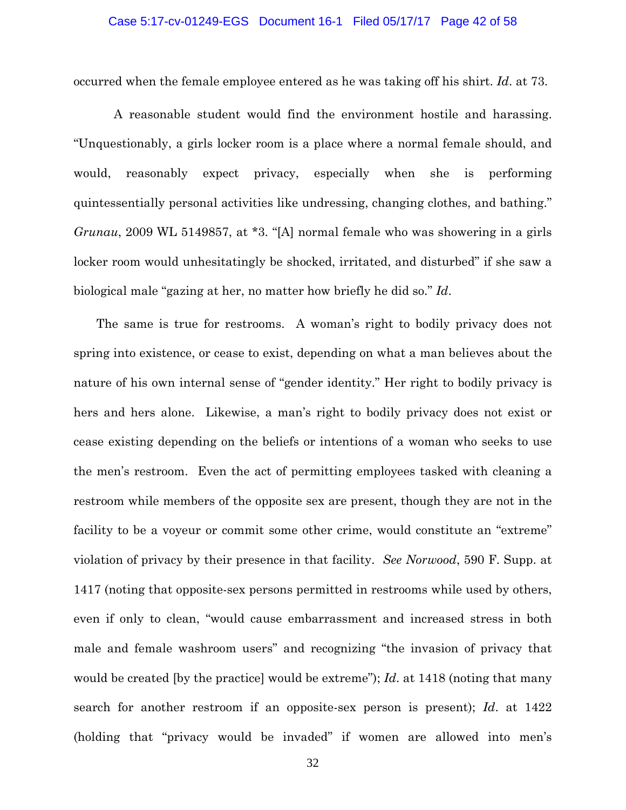### Case 5:17-cv-01249-EGS Document 16-1 Filed 05/17/17 Page 42 of 58

occurred when the female employee entered as he was taking off his shirt. *Id*. at 73.

 A reasonable student would find the environment hostile and harassing. "Unquestionably, a girls locker room is a place where a normal female should, and would, reasonably expect privacy, especially when she is performing quintessentially personal activities like undressing, changing clothes, and bathing." *Grunau*, 2009 WL 5149857, at \*3. "[A] normal female who was showering in a girls locker room would unhesitatingly be shocked, irritated, and disturbed" if she saw a biological male "gazing at her, no matter how briefly he did so." *Id*.

The same is true for restrooms. A woman's right to bodily privacy does not spring into existence, or cease to exist, depending on what a man believes about the nature of his own internal sense of "gender identity." Her right to bodily privacy is hers and hers alone. Likewise, a man's right to bodily privacy does not exist or cease existing depending on the beliefs or intentions of a woman who seeks to use the men's restroom. Even the act of permitting employees tasked with cleaning a restroom while members of the opposite sex are present, though they are not in the facility to be a voyeur or commit some other crime, would constitute an "extreme" violation of privacy by their presence in that facility. *See Norwood*, 590 F. Supp. at 1417 (noting that opposite-sex persons permitted in restrooms while used by others, even if only to clean, "would cause embarrassment and increased stress in both male and female washroom users" and recognizing "the invasion of privacy that would be created [by the practice] would be extreme"); *Id*. at 1418 (noting that many search for another restroom if an opposite-sex person is present); *Id*. at 1422 (holding that "privacy would be invaded" if women are allowed into men's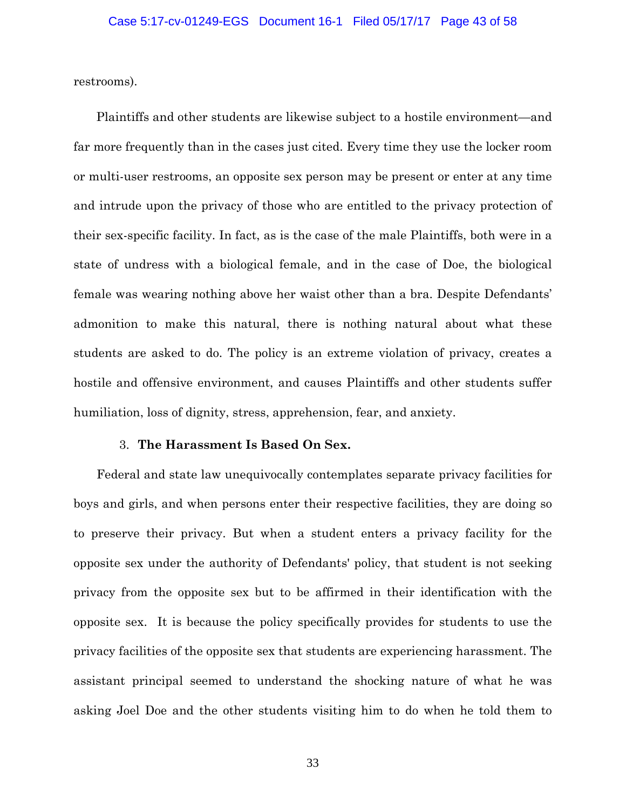restrooms).

Plaintiffs and other students are likewise subject to a hostile environment—and far more frequently than in the cases just cited. Every time they use the locker room or multi-user restrooms, an opposite sex person may be present or enter at any time and intrude upon the privacy of those who are entitled to the privacy protection of their sex-specific facility. In fact, as is the case of the male Plaintiffs, both were in a state of undress with a biological female, and in the case of Doe, the biological female was wearing nothing above her waist other than a bra. Despite Defendants' admonition to make this natural, there is nothing natural about what these students are asked to do. The policy is an extreme violation of privacy, creates a hostile and offensive environment, and causes Plaintiffs and other students suffer humiliation, loss of dignity, stress, apprehension, fear, and anxiety.

## 3. **The Harassment Is Based On Sex.**

Federal and state law unequivocally contemplates separate privacy facilities for boys and girls, and when persons enter their respective facilities, they are doing so to preserve their privacy. But when a student enters a privacy facility for the opposite sex under the authority of Defendants' policy, that student is not seeking privacy from the opposite sex but to be affirmed in their identification with the opposite sex. It is because the policy specifically provides for students to use the privacy facilities of the opposite sex that students are experiencing harassment. The assistant principal seemed to understand the shocking nature of what he was asking Joel Doe and the other students visiting him to do when he told them to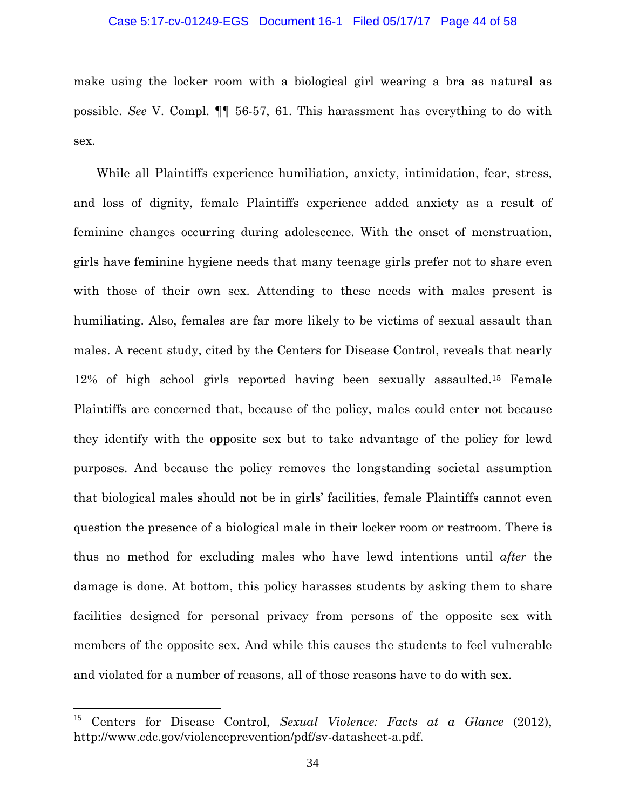### Case 5:17-cv-01249-EGS Document 16-1 Filed 05/17/17 Page 44 of 58

make using the locker room with a biological girl wearing a bra as natural as possible. *See* V. Compl. ¶¶ 56-57, 61. This harassment has everything to do with sex.

While all Plaintiffs experience humiliation, anxiety, intimidation, fear, stress, and loss of dignity, female Plaintiffs experience added anxiety as a result of feminine changes occurring during adolescence. With the onset of menstruation, girls have feminine hygiene needs that many teenage girls prefer not to share even with those of their own sex. Attending to these needs with males present is humiliating. Also, females are far more likely to be victims of sexual assault than males. A recent study, cited by the Centers for Disease Control, reveals that nearly 12% of high school girls reported having been sexually assaulted.15 Female Plaintiffs are concerned that, because of the policy, males could enter not because they identify with the opposite sex but to take advantage of the policy for lewd purposes. And because the policy removes the longstanding societal assumption that biological males should not be in girls' facilities, female Plaintiffs cannot even question the presence of a biological male in their locker room or restroom. There is thus no method for excluding males who have lewd intentions until *after* the damage is done. At bottom, this policy harasses students by asking them to share facilities designed for personal privacy from persons of the opposite sex with members of the opposite sex. And while this causes the students to feel vulnerable and violated for a number of reasons, all of those reasons have to do with sex.

 $\overline{a}$ 

<sup>15</sup> Centers for Disease Control, *Sexual Violence: Facts at a Glance* (2012), http://www.cdc.gov/violenceprevention/pdf/sv-datasheet-a.pdf.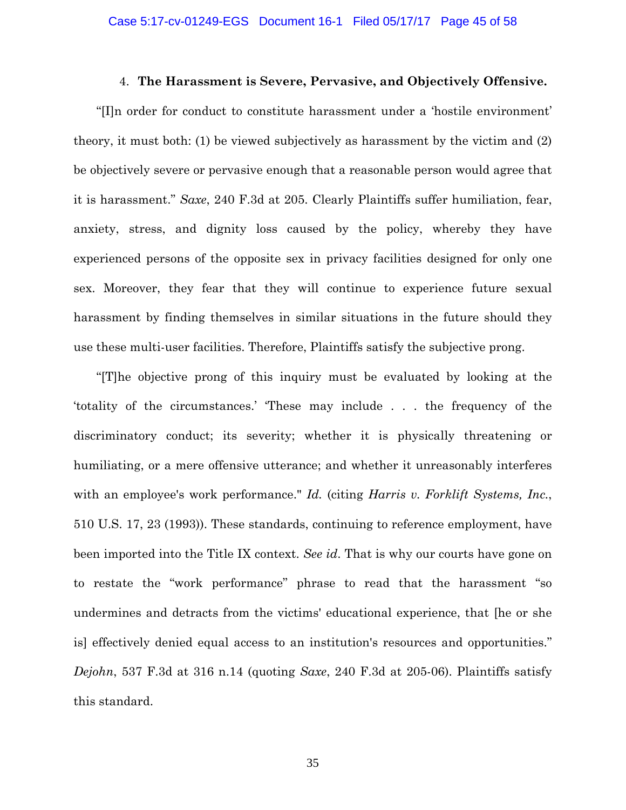### 4. **The Harassment is Severe, Pervasive, and Objectively Offensive.**

"[I]n order for conduct to constitute harassment under a 'hostile environment' theory, it must both: (1) be viewed subjectively as harassment by the victim and (2) be objectively severe or pervasive enough that a reasonable person would agree that it is harassment." *Saxe*, 240 F.3d at 205. Clearly Plaintiffs suffer humiliation, fear, anxiety, stress, and dignity loss caused by the policy, whereby they have experienced persons of the opposite sex in privacy facilities designed for only one sex. Moreover, they fear that they will continue to experience future sexual harassment by finding themselves in similar situations in the future should they use these multi-user facilities. Therefore, Plaintiffs satisfy the subjective prong.

"[T]he objective prong of this inquiry must be evaluated by looking at the 'totality of the circumstances.' 'These may include . . . the frequency of the discriminatory conduct; its severity; whether it is physically threatening or humiliating, or a mere offensive utterance; and whether it unreasonably interferes with an employee's work performance." *Id.* (citing *Harris v. Forklift Systems, Inc.*, 510 U.S. 17, 23 (1993)). These standards, continuing to reference employment, have been imported into the Title IX context. *See id*. That is why our courts have gone on to restate the "work performance" phrase to read that the harassment "so undermines and detracts from the victims' educational experience, that [he or she is] effectively denied equal access to an institution's resources and opportunities." *Dejohn*, 537 F.3d at 316 n.14 (quoting *Saxe*, 240 F.3d at 205-06). Plaintiffs satisfy this standard.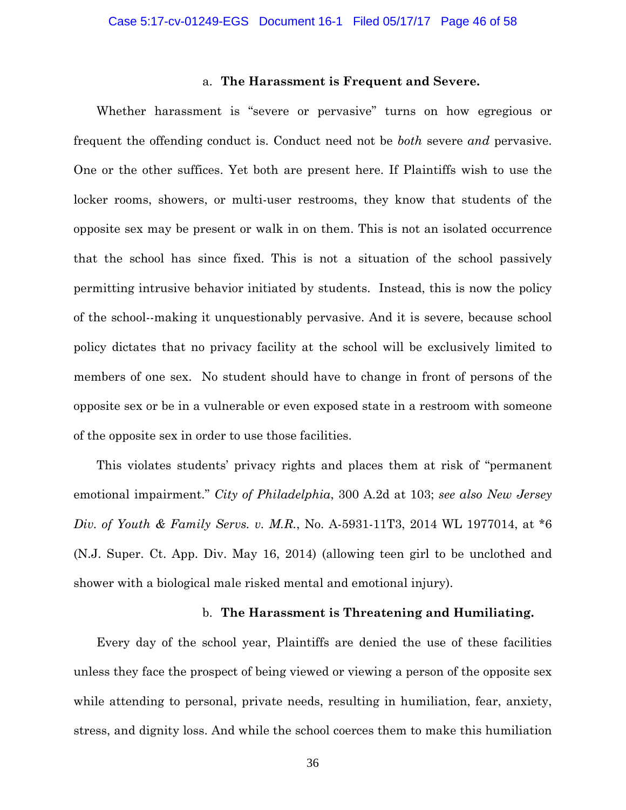### a. **The Harassment is Frequent and Severe.**

Whether harassment is "severe or pervasive" turns on how egregious or frequent the offending conduct is. Conduct need not be *both* severe *and* pervasive. One or the other suffices. Yet both are present here. If Plaintiffs wish to use the locker rooms, showers, or multi-user restrooms, they know that students of the opposite sex may be present or walk in on them. This is not an isolated occurrence that the school has since fixed. This is not a situation of the school passively permitting intrusive behavior initiated by students. Instead, this is now the policy of the school--making it unquestionably pervasive. And it is severe, because school policy dictates that no privacy facility at the school will be exclusively limited to members of one sex. No student should have to change in front of persons of the opposite sex or be in a vulnerable or even exposed state in a restroom with someone of the opposite sex in order to use those facilities.

This violates students' privacy rights and places them at risk of "permanent emotional impairment." *City of Philadelphia*, 300 A.2d at 103; *see also New Jersey Div. of Youth & Family Servs. v. M.R.*, No. A-5931-11T3, 2014 WL 1977014, at \*6 (N.J. Super. Ct. App. Div. May 16, 2014) (allowing teen girl to be unclothed and shower with a biological male risked mental and emotional injury).

### b. **The Harassment is Threatening and Humiliating.**

Every day of the school year, Plaintiffs are denied the use of these facilities unless they face the prospect of being viewed or viewing a person of the opposite sex while attending to personal, private needs, resulting in humiliation, fear, anxiety, stress, and dignity loss. And while the school coerces them to make this humiliation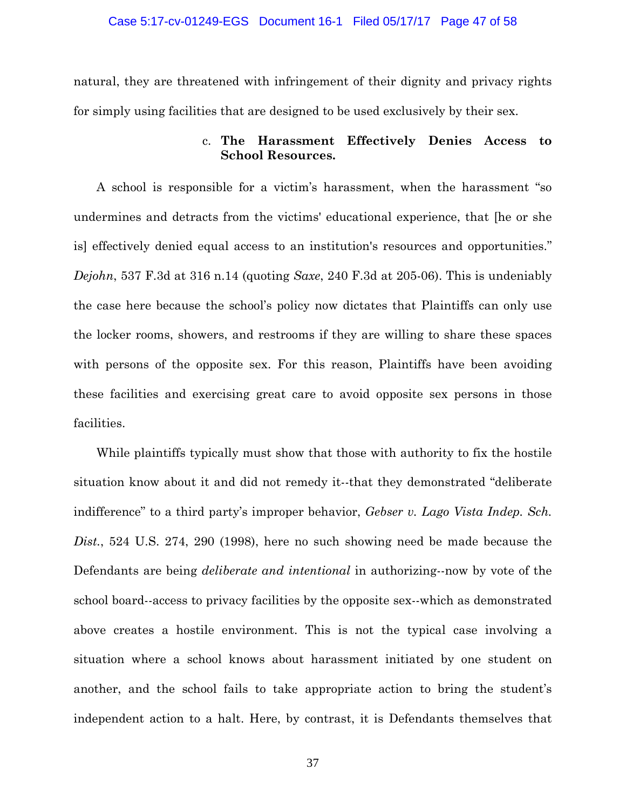natural, they are threatened with infringement of their dignity and privacy rights for simply using facilities that are designed to be used exclusively by their sex.

# c. **The Harassment Effectively Denies Access to School Resources.**

A school is responsible for a victim's harassment, when the harassment "so undermines and detracts from the victims' educational experience, that [he or she is] effectively denied equal access to an institution's resources and opportunities." *Dejohn*, 537 F.3d at 316 n.14 (quoting *Saxe*, 240 F.3d at 205-06). This is undeniably the case here because the school's policy now dictates that Plaintiffs can only use the locker rooms, showers, and restrooms if they are willing to share these spaces with persons of the opposite sex. For this reason, Plaintiffs have been avoiding these facilities and exercising great care to avoid opposite sex persons in those facilities.

While plaintiffs typically must show that those with authority to fix the hostile situation know about it and did not remedy it--that they demonstrated "deliberate indifference" to a third party's improper behavior, *Gebser v. Lago Vista Indep. Sch. Dist.*, 524 U.S. 274, 290 (1998), here no such showing need be made because the Defendants are being *deliberate and intentional* in authorizing--now by vote of the school board--access to privacy facilities by the opposite sex--which as demonstrated above creates a hostile environment. This is not the typical case involving a situation where a school knows about harassment initiated by one student on another, and the school fails to take appropriate action to bring the student's independent action to a halt. Here, by contrast, it is Defendants themselves that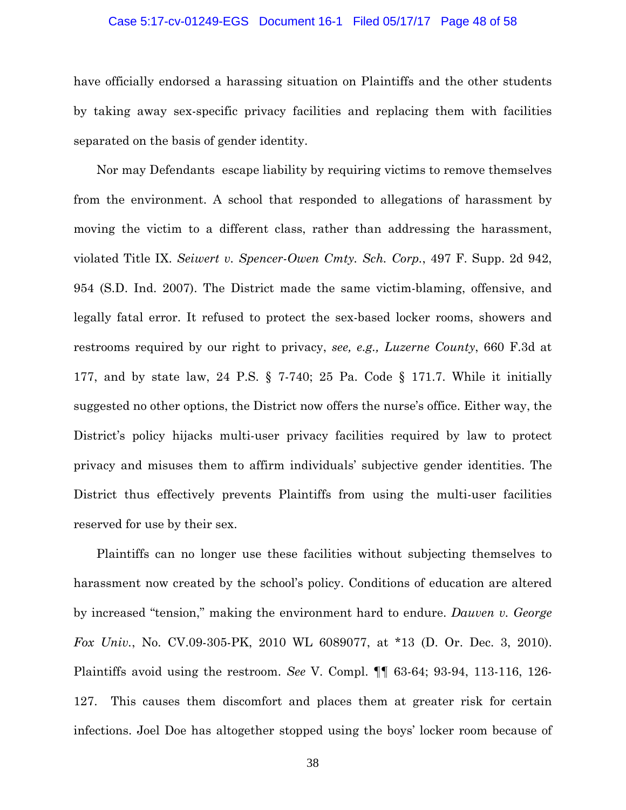### Case 5:17-cv-01249-EGS Document 16-1 Filed 05/17/17 Page 48 of 58

have officially endorsed a harassing situation on Plaintiffs and the other students by taking away sex-specific privacy facilities and replacing them with facilities separated on the basis of gender identity.

Nor may Defendants escape liability by requiring victims to remove themselves from the environment. A school that responded to allegations of harassment by moving the victim to a different class, rather than addressing the harassment, violated Title IX. *Seiwert v. Spencer-Owen Cmty. Sch. Corp.*, 497 F. Supp. 2d 942, 954 (S.D. Ind. 2007). The District made the same victim-blaming, offensive, and legally fatal error. It refused to protect the sex-based locker rooms, showers and restrooms required by our right to privacy, *see, e.g., Luzerne County*, 660 F.3d at 177, and by state law, 24 P.S. § 7-740; 25 Pa. Code § 171.7. While it initially suggested no other options, the District now offers the nurse's office. Either way, the District's policy hijacks multi-user privacy facilities required by law to protect privacy and misuses them to affirm individuals' subjective gender identities. The District thus effectively prevents Plaintiffs from using the multi-user facilities reserved for use by their sex.

Plaintiffs can no longer use these facilities without subjecting themselves to harassment now created by the school's policy. Conditions of education are altered by increased "tension," making the environment hard to endure. *Dauven v. George Fox Univ.*, No. CV.09-305-PK, 2010 WL 6089077, at \*13 (D. Or. Dec. 3, 2010). Plaintiffs avoid using the restroom. *See* V. Compl. ¶¶ 63-64; 93-94, 113-116, 126- 127. This causes them discomfort and places them at greater risk for certain infections. Joel Doe has altogether stopped using the boys' locker room because of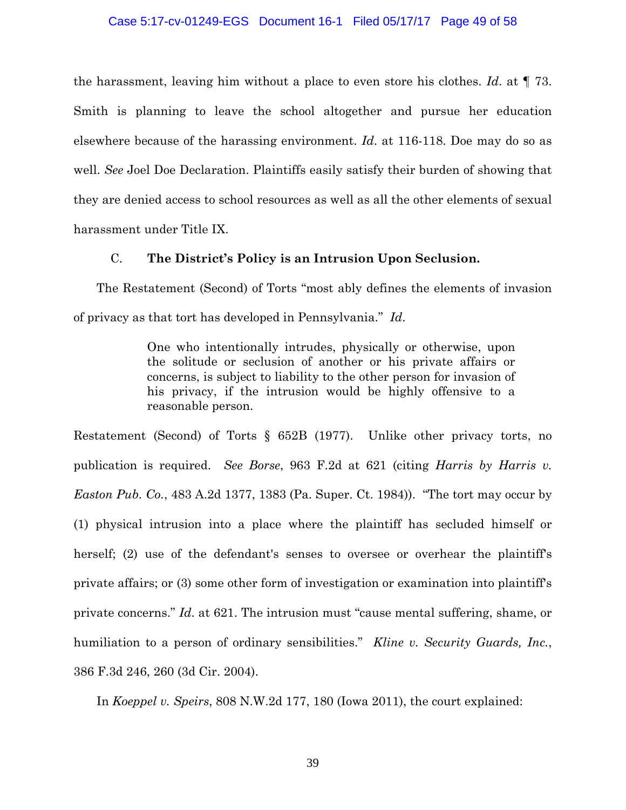### Case 5:17-cv-01249-EGS Document 16-1 Filed 05/17/17 Page 49 of 58

the harassment, leaving him without a place to even store his clothes. *Id*. at ¶ 73. Smith is planning to leave the school altogether and pursue her education elsewhere because of the harassing environment. *Id*. at 116-118. Doe may do so as well. *See* Joel Doe Declaration. Plaintiffs easily satisfy their burden of showing that they are denied access to school resources as well as all the other elements of sexual harassment under Title IX.

## C. **The District's Policy is an Intrusion Upon Seclusion.**

The Restatement (Second) of Torts "most ably defines the elements of invasion of privacy as that tort has developed in Pennsylvania." *Id*.

> One who intentionally intrudes, physically or otherwise, upon the solitude or seclusion of another or his private affairs or concerns, is subject to liability to the other person for invasion of his privacy, if the intrusion would be highly offensive to a reasonable person.

Restatement (Second) of Torts § 652B (1977). Unlike other privacy torts, no publication is required. *See Borse*, 963 F.2d at 621 (citing *Harris by Harris v. Easton Pub. Co.*, 483 A.2d 1377, 1383 (Pa. Super. Ct. 1984)). "The tort may occur by (1) physical intrusion into a place where the plaintiff has secluded himself or herself; (2) use of the defendant's senses to oversee or overhear the plaintiff's private affairs; or (3) some other form of investigation or examination into plaintiff's private concerns." *Id*. at 621. The intrusion must "cause mental suffering, shame, or humiliation to a person of ordinary sensibilities." *Kline v. Security Guards, Inc.*, 386 F.3d 246, 260 (3d Cir. 2004).

In *Koeppel v. Speirs*, 808 N.W.2d 177, 180 (Iowa 2011), the court explained: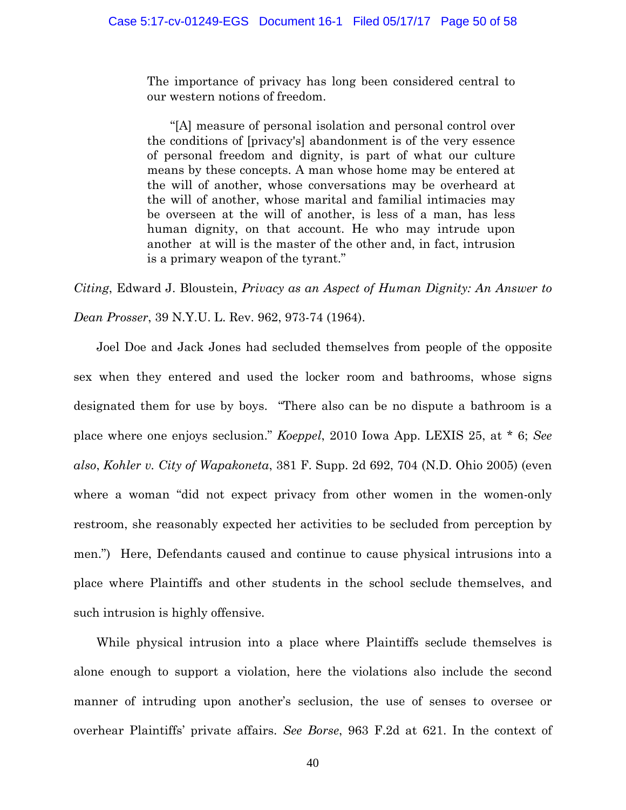The importance of privacy has long been considered central to our western notions of freedom.

"[A] measure of personal isolation and personal control over the conditions of [privacy's] abandonment is of the very essence of personal freedom and dignity, is part of what our culture means by these concepts. A man whose home may be entered at the will of another, whose conversations may be overheard at the will of another, whose marital and familial intimacies may be overseen at the will of another, is less of a man, has less human dignity, on that account. He who may intrude upon another at will is the master of the other and, in fact, intrusion is a primary weapon of the tyrant."

*Citing*, Edward J. Bloustein, *Privacy as an Aspect of Human Dignity: An Answer to* 

*Dean Prosser*, 39 N.Y.U. L. Rev. 962, 973-74 (1964).

Joel Doe and Jack Jones had secluded themselves from people of the opposite sex when they entered and used the locker room and bathrooms, whose signs designated them for use by boys. "There also can be no dispute a bathroom is a place where one enjoys seclusion." *Koeppel*, 2010 Iowa App. LEXIS 25, at \* 6; *See also*, *Kohler v. City of Wapakoneta*, 381 F. Supp. 2d 692, 704 (N.D. Ohio 2005) (even where a woman "did not expect privacy from other women in the women-only restroom, she reasonably expected her activities to be secluded from perception by men.") Here, Defendants caused and continue to cause physical intrusions into a place where Plaintiffs and other students in the school seclude themselves, and such intrusion is highly offensive.

While physical intrusion into a place where Plaintiffs seclude themselves is alone enough to support a violation, here the violations also include the second manner of intruding upon another's seclusion, the use of senses to oversee or overhear Plaintiffs' private affairs. *See Borse*, 963 F.2d at 621. In the context of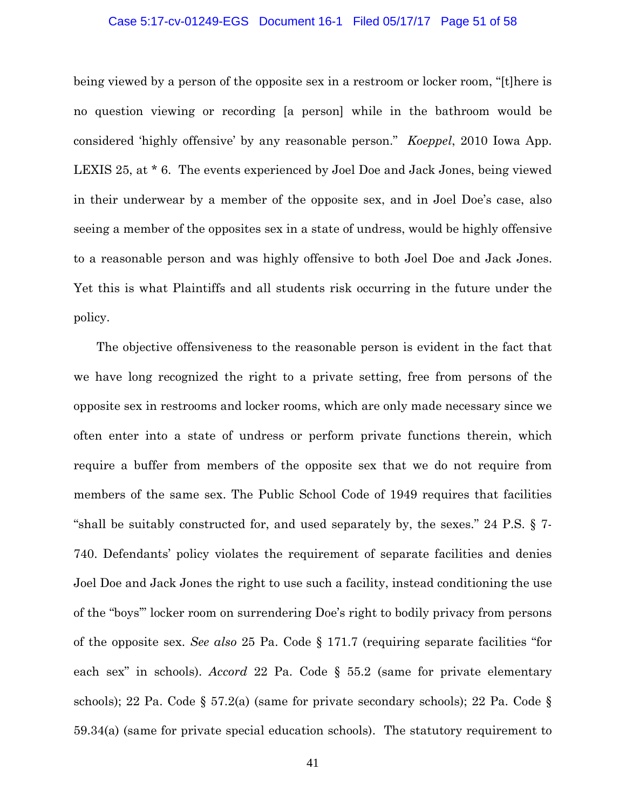#### Case 5:17-cv-01249-EGS Document 16-1 Filed 05/17/17 Page 51 of 58

being viewed by a person of the opposite sex in a restroom or locker room, "[t]here is no question viewing or recording [a person] while in the bathroom would be considered 'highly offensive' by any reasonable person." *Koeppel*, 2010 Iowa App. LEXIS 25, at \* 6. The events experienced by Joel Doe and Jack Jones, being viewed in their underwear by a member of the opposite sex, and in Joel Doe's case, also seeing a member of the opposites sex in a state of undress, would be highly offensive to a reasonable person and was highly offensive to both Joel Doe and Jack Jones. Yet this is what Plaintiffs and all students risk occurring in the future under the policy.

The objective offensiveness to the reasonable person is evident in the fact that we have long recognized the right to a private setting, free from persons of the opposite sex in restrooms and locker rooms, which are only made necessary since we often enter into a state of undress or perform private functions therein, which require a buffer from members of the opposite sex that we do not require from members of the same sex. The Public School Code of 1949 requires that facilities "shall be suitably constructed for, and used separately by, the sexes." 24 P.S. § 7- 740. Defendants' policy violates the requirement of separate facilities and denies Joel Doe and Jack Jones the right to use such a facility, instead conditioning the use of the "boys'" locker room on surrendering Doe's right to bodily privacy from persons of the opposite sex. *See also* 25 Pa. Code § 171.7 (requiring separate facilities "for each sex" in schools). *Accord* 22 Pa. Code § 55.2 (same for private elementary schools); 22 Pa. Code § 57.2(a) (same for private secondary schools); 22 Pa. Code § 59.34(a) (same for private special education schools). The statutory requirement to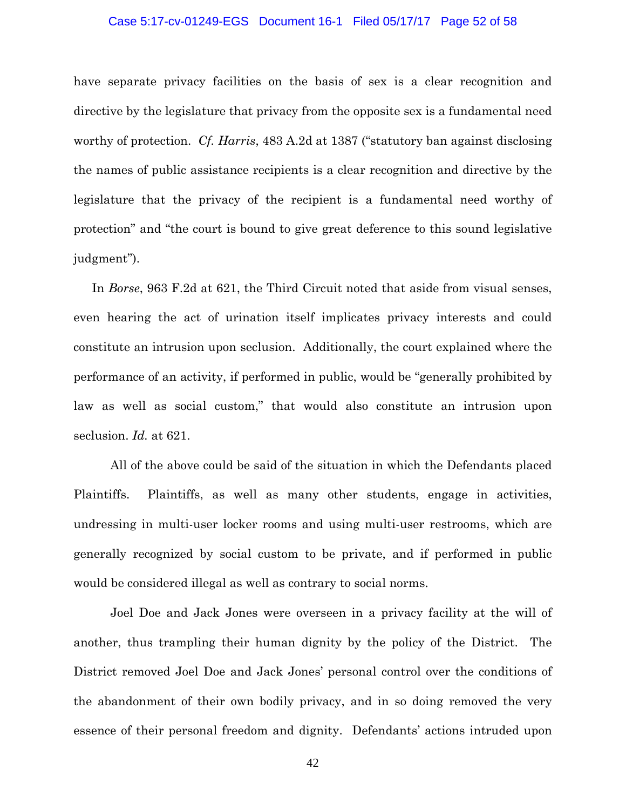### Case 5:17-cv-01249-EGS Document 16-1 Filed 05/17/17 Page 52 of 58

have separate privacy facilities on the basis of sex is a clear recognition and directive by the legislature that privacy from the opposite sex is a fundamental need worthy of protection. *Cf. Harris*, 483 A.2d at 1387 ("statutory ban against disclosing the names of public assistance recipients is a clear recognition and directive by the legislature that the privacy of the recipient is a fundamental need worthy of protection" and "the court is bound to give great deference to this sound legislative judgment").

In *Borse*, 963 F.2d at 621, the Third Circuit noted that aside from visual senses, even hearing the act of urination itself implicates privacy interests and could constitute an intrusion upon seclusion. Additionally, the court explained where the performance of an activity, if performed in public, would be "generally prohibited by law as well as social custom," that would also constitute an intrusion upon seclusion. *Id.* at 621.

 All of the above could be said of the situation in which the Defendants placed Plaintiffs. Plaintiffs, as well as many other students, engage in activities, undressing in multi-user locker rooms and using multi-user restrooms, which are generally recognized by social custom to be private, and if performed in public would be considered illegal as well as contrary to social norms.

Joel Doe and Jack Jones were overseen in a privacy facility at the will of another, thus trampling their human dignity by the policy of the District. The District removed Joel Doe and Jack Jones' personal control over the conditions of the abandonment of their own bodily privacy, and in so doing removed the very essence of their personal freedom and dignity. Defendants' actions intruded upon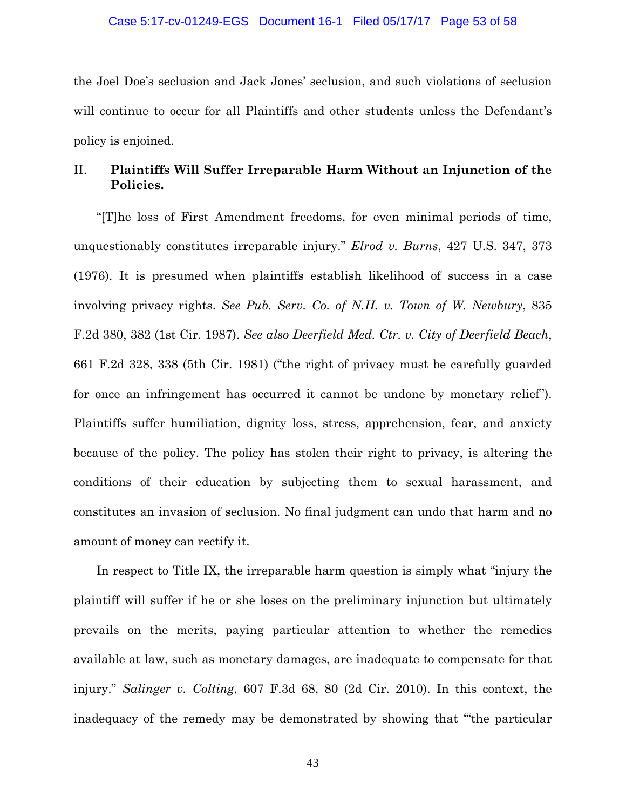the Joel Doe's seclusion and Jack Jones' seclusion, and such violations of seclusion will continue to occur for all Plaintiffs and other students unless the Defendant's policy is enjoined.

# II. **Plaintiffs Will Suffer Irreparable Harm Without an Injunction of the Policies.**

"[T]he loss of First Amendment freedoms, for even minimal periods of time, unquestionably constitutes irreparable injury." *Elrod v. Burns*, 427 U.S. 347, 373 (1976). It is presumed when plaintiffs establish likelihood of success in a case involving privacy rights. *See Pub. Serv. Co. of N.H. v. Town of W. Newbury*, 835 F.2d 380, 382 (1st Cir. 1987). *See also Deerfield Med. Ctr. v. City of Deerfield Beach*, 661 F.2d 328, 338 (5th Cir. 1981) ("the right of privacy must be carefully guarded for once an infringement has occurred it cannot be undone by monetary relief"). Plaintiffs suffer humiliation, dignity loss, stress, apprehension, fear, and anxiety because of the policy. The policy has stolen their right to privacy, is altering the conditions of their education by subjecting them to sexual harassment, and constitutes an invasion of seclusion. No final judgment can undo that harm and no amount of money can rectify it.

In respect to Title IX, the irreparable harm question is simply what "injury the plaintiff will suffer if he or she loses on the preliminary injunction but ultimately prevails on the merits, paying particular attention to whether the remedies available at law, such as monetary damages, are inadequate to compensate for that injury." *Salinger v. Colting*, 607 F.3d 68, 80 (2d Cir. 2010). In this context, the inadequacy of the remedy may be demonstrated by showing that "'the particular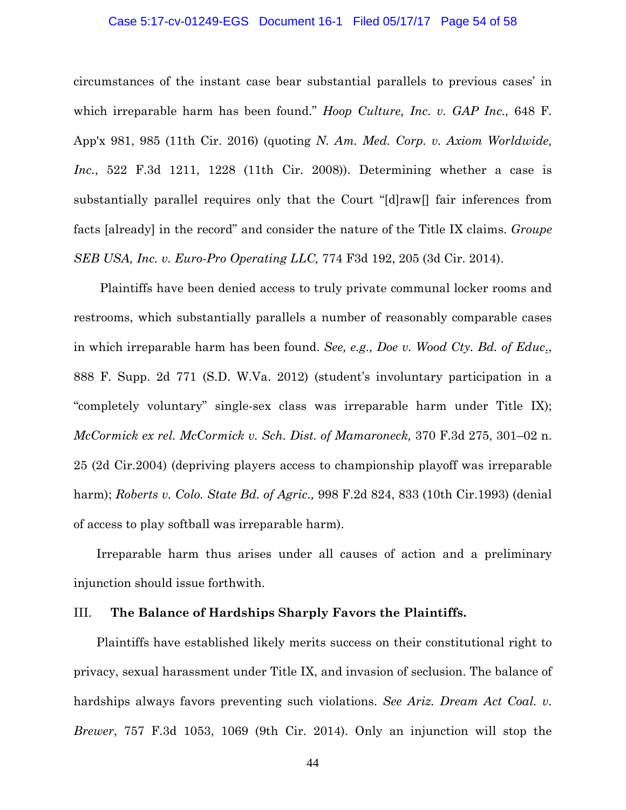### Case 5:17-cv-01249-EGS Document 16-1 Filed 05/17/17 Page 54 of 58

circumstances of the instant case bear substantial parallels to previous cases' in which irreparable harm has been found." *Hoop Culture, Inc. v. GAP Inc.,* 648 F. App'x 981, 985 (11th Cir. 2016) (quoting *N. Am. Med. Corp. v. Axiom Worldwide, Inc.*, 522 F.3d 1211, 1228 (11th Cir. 2008)). Determining whether a case is substantially parallel requires only that the Court "[d]raw[] fair inferences from facts [already] in the record" and consider the nature of the Title IX claims. *Groupe SEB USA, Inc. v. Euro-Pro Operating LLC,* 774 F3d 192, 205 (3d Cir. 2014).

 Plaintiffs have been denied access to truly private communal locker rooms and restrooms, which substantially parallels a number of reasonably comparable cases in which irreparable harm has been found. *See, e.g., Doe v. Wood Cty. Bd. of Educ*., 888 F. Supp. 2d 771 (S.D. W.Va. 2012) (student's involuntary participation in a "completely voluntary" single-sex class was irreparable harm under Title IX); *McCormick ex rel. McCormick v. Sch. Dist. of Mamaroneck,* 370 F.3d 275, 301–02 n. 25 (2d Cir.2004) (depriving players access to championship playoff was irreparable harm); *Roberts v. Colo. State Bd. of Agric.,* 998 F.2d 824, 833 (10th Cir.1993) (denial of access to play softball was irreparable harm).

Irreparable harm thus arises under all causes of action and a preliminary injunction should issue forthwith.

### III. **The Balance of Hardships Sharply Favors the Plaintiffs.**

Plaintiffs have established likely merits success on their constitutional right to privacy, sexual harassment under Title IX, and invasion of seclusion. The balance of hardships always favors preventing such violations. *See Ariz. Dream Act Coal. v. Brewer*, 757 F.3d 1053, 1069 (9th Cir. 2014). Only an injunction will stop the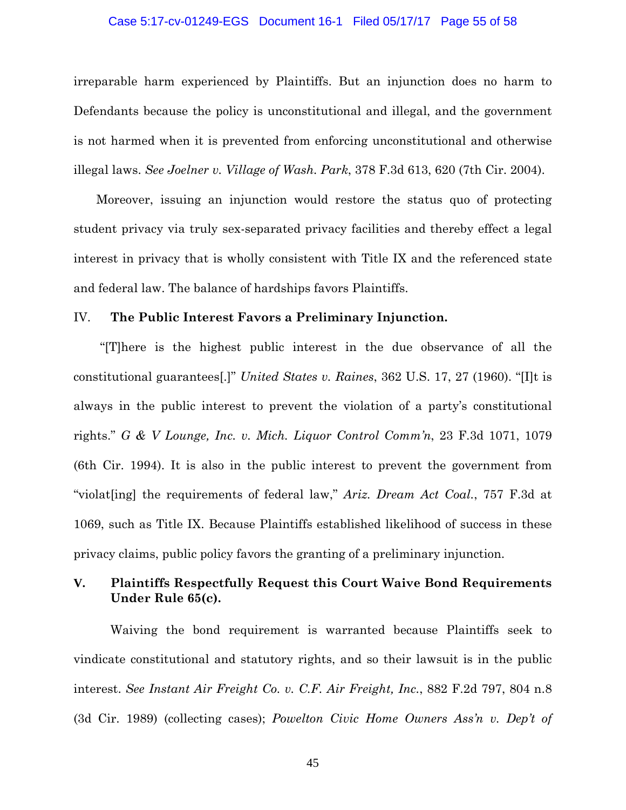### Case 5:17-cv-01249-EGS Document 16-1 Filed 05/17/17 Page 55 of 58

irreparable harm experienced by Plaintiffs. But an injunction does no harm to Defendants because the policy is unconstitutional and illegal, and the government is not harmed when it is prevented from enforcing unconstitutional and otherwise illegal laws. *See Joelner v. Village of Wash. Park*, 378 F.3d 613, 620 (7th Cir. 2004).

Moreover, issuing an injunction would restore the status quo of protecting student privacy via truly sex-separated privacy facilities and thereby effect a legal interest in privacy that is wholly consistent with Title IX and the referenced state and federal law. The balance of hardships favors Plaintiffs.

## IV. **The Public Interest Favors a Preliminary Injunction.**

 "[T]here is the highest public interest in the due observance of all the constitutional guarantees[.]" *United States v. Raines*, 362 U.S. 17, 27 (1960). "[I]t is always in the public interest to prevent the violation of a party's constitutional rights." *G & V Lounge, Inc. v. Mich. Liquor Control Comm'n*, 23 F.3d 1071, 1079 (6th Cir. 1994). It is also in the public interest to prevent the government from "violat[ing] the requirements of federal law," *Ariz. Dream Act Coal.*, 757 F.3d at 1069, such as Title IX. Because Plaintiffs established likelihood of success in these privacy claims, public policy favors the granting of a preliminary injunction.

# **V. Plaintiffs Respectfully Request this Court Waive Bond Requirements Under Rule 65(c).**

Waiving the bond requirement is warranted because Plaintiffs seek to vindicate constitutional and statutory rights, and so their lawsuit is in the public interest. *See Instant Air Freight Co. v. C.F. Air Freight, Inc.*, 882 F.2d 797, 804 n.8 (3d Cir. 1989) (collecting cases); *Powelton Civic Home Owners Ass'n v. Dep't of*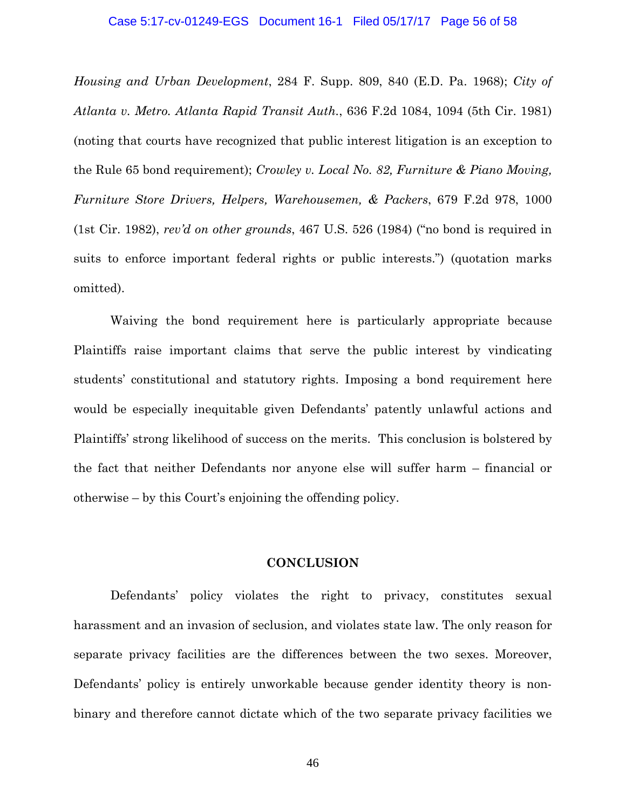### Case 5:17-cv-01249-EGS Document 16-1 Filed 05/17/17 Page 56 of 58

*Housing and Urban Development*, 284 F. Supp. 809, 840 (E.D. Pa. 1968); *City of Atlanta v. Metro. Atlanta Rapid Transit Auth.*, 636 F.2d 1084, 1094 (5th Cir. 1981) (noting that courts have recognized that public interest litigation is an exception to the Rule 65 bond requirement); *Crowley v. Local No. 82, Furniture & Piano Moving, Furniture Store Drivers, Helpers, Warehousemen, & Packers*, 679 F.2d 978, 1000 (1st Cir. 1982), *rev'd on other grounds*, 467 U.S. 526 (1984) ("no bond is required in suits to enforce important federal rights or public interests.") (quotation marks omitted).

Waiving the bond requirement here is particularly appropriate because Plaintiffs raise important claims that serve the public interest by vindicating students' constitutional and statutory rights. Imposing a bond requirement here would be especially inequitable given Defendants' patently unlawful actions and Plaintiffs' strong likelihood of success on the merits. This conclusion is bolstered by the fact that neither Defendants nor anyone else will suffer harm – financial or otherwise – by this Court's enjoining the offending policy.

### **CONCLUSION**

 Defendants' policy violates the right to privacy, constitutes sexual harassment and an invasion of seclusion, and violates state law. The only reason for separate privacy facilities are the differences between the two sexes. Moreover, Defendants' policy is entirely unworkable because gender identity theory is nonbinary and therefore cannot dictate which of the two separate privacy facilities we

46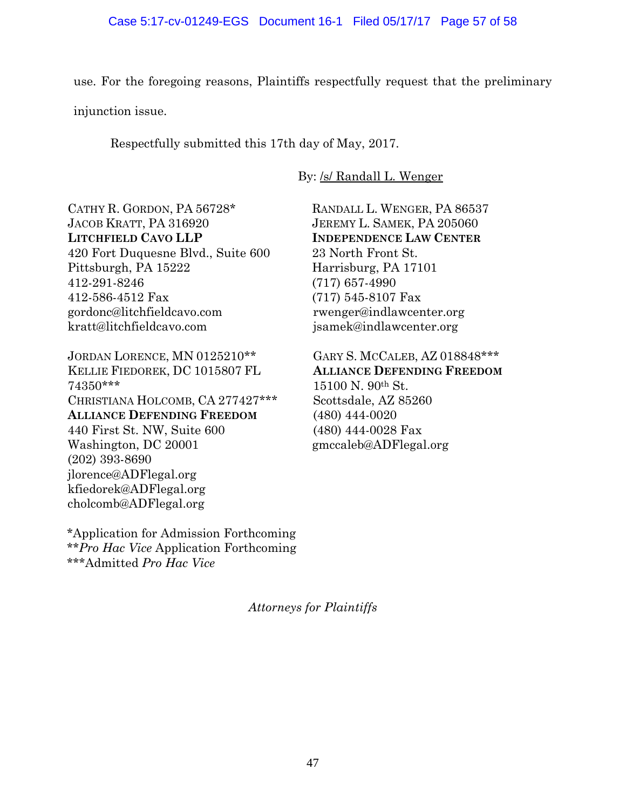use. For the foregoing reasons, Plaintiffs respectfully request that the preliminary injunction issue.

Respectfully submitted this 17th day of May, 2017.

By: /s/ Randall L. Wenger

CATHY R. GORDON, PA 56728\* JACOB KRATT, PA 316920 **LITCHFIELD CAVO LLP** 420 Fort Duquesne Blvd., Suite 600 Pittsburgh, PA 15222 412-291-8246 412-586-4512 Fax gordonc@litchfieldcavo.com kratt@litchfieldcavo.com

JORDAN LORENCE, MN 0125210\*\* KELLIE FIEDOREK, DC 1015807 FL 74350\*\*\* CHRISTIANA HOLCOMB, CA 277427\*\*\* **ALLIANCE DEFENDING FREEDOM** 440 First St. NW, Suite 600 Washington, DC 20001 (202) 393-8690 jlorence@ADFlegal.org kfiedorek@ADFlegal.org cholcomb@ADFlegal.org

\*Application for Admission Forthcoming \*\**Pro Hac Vice* Application Forthcoming \*\*\*Admitted *Pro Hac Vice*

RANDALL L. WENGER, PA 86537 JEREMY L. SAMEK, PA 205060 **INDEPENDENCE LAW CENTER** 23 North Front St. Harrisburg, PA 17101 (717) 657-4990 (717) 545-8107 Fax rwenger@indlawcenter.org jsamek@indlawcenter.org

GARY S. MCCALEB, AZ 018848\*\*\* **ALLIANCE DEFENDING FREEDOM** 15100 N. 90th St. Scottsdale, AZ 85260 (480) 444-0020 (480) 444-0028 Fax gmccaleb@ADFlegal.org

*Attorneys for Plaintiffs*